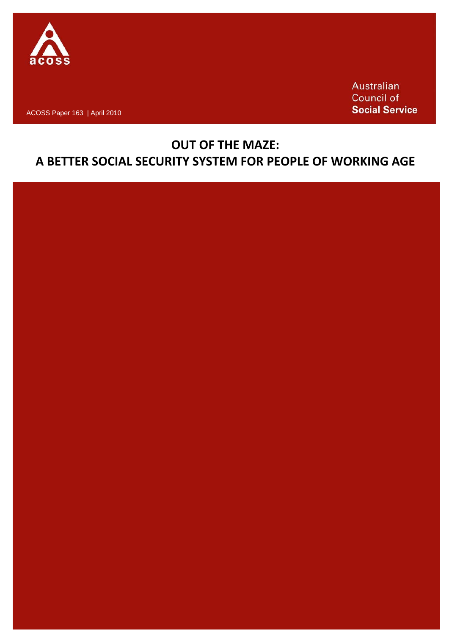

ACOSS Paper 163 | April 2010

Australian **Council of Social Service** 

# **OUT OF THE MAZE: A BETTER SOCIAL SECURITY SYSTEM FOR PEOPLE OF WORKING AGE**

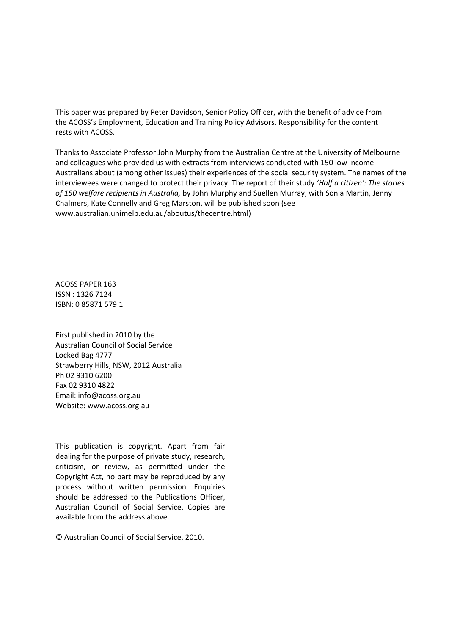This paper was prepared by Peter Davidson, Senior Policy Officer, with the benefit of advice from the ACOSS's Employment, Education and Training Policy Advisors. Responsibility for the content rests with ACOSS.

Thanks to Associate Professor John Murphy from the Australian Centre at the University of Melbourne and colleagues who provided us with extracts from interviews conducted with 150 low income Australians about (among other issues) their experiences of the social security system. The names of the interviewees were changed to protect their privacy. The report of their study *'Half a citizen': The stories of 150 welfare recipients in Australia,* by John Murphy and Suellen Murray, with Sonia Martin, Jenny Chalmers, Kate Connelly and Greg Marston, will be published soon (see www.australian.unimelb.edu.au/aboutus/thecentre.html)

ACOSS PAPER 163 ISSN : 1326 7124 ISBN: 0 85871 579 1

First published in 2010 by the Australian Council of Social Service Locked Bag 4777 Strawberry Hills, NSW, 2012 Australia Ph 02 9310 6200 Fax 02 9310 4822 Email: info@acoss.org.au Website: www.acoss.org.au

This publication is copyright. Apart from fair dealing for the purpose of private study, research, criticism, or review, as permitted under the Copyright Act, no part may be reproduced by any process without written permission. Enquiries should be addressed to the Publications Officer, Australian Council of Social Service. Copies are available from the address above.

© Australian Council of Social Service, 2010.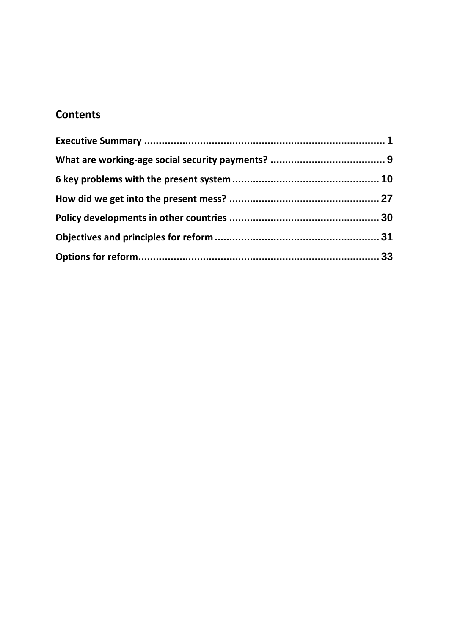# **Contents**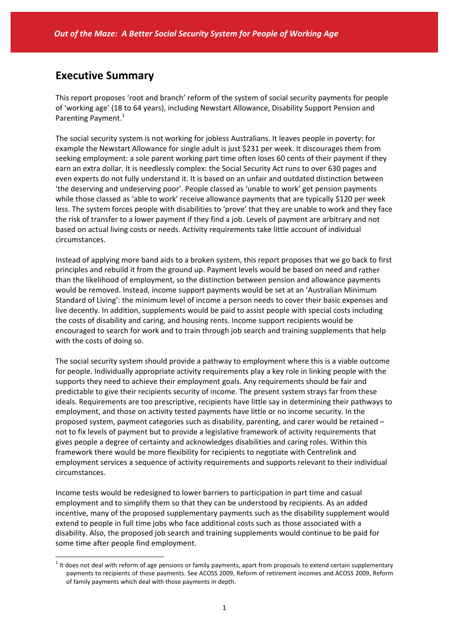## **Executive Summary**

 $\overline{a}$ 

This report proposes 'root and branch' reform of the system of social security payments for people of 'working age' (18 to 64 years), including Newstart Allowance, Disability Support Pension and Parenting Payment.<sup>1</sup>

The social security system is not working for jobless Australians. It leaves people in poverty: for example the Newstart Allowance for single adult is just \$231 per week. It discourages them from seeking employment: a sole parent working part time often loses 60 cents of their payment if they earn an extra dollar. It is needlessly complex: the Social Security Act runs to over 630 pages and even experts do not fully understand it. It is based on an unfair and outdated distinction between 'the deserving and undeserving poor'. People classed as 'unable to work' get pension payments while those classed as 'able to work' receive allowance payments that are typically \$120 per week less. The system forces people with disabilities to 'prove' that they are unable to work and they face the risk of transfer to a lower payment if they find a job. Levels of payment are arbitrary and not based on actual living costs or needs. Activity requirements take little account of individual circumstances.

Instead of applying more band aids to a broken system, this report proposes that we go back to first principles and rebuild it from the ground up. Payment levels would be based on need and rather than the likelihood of employment, so the distinction between pension and allowance payments would be removed. Instead, income support payments would be set at an 'Australian Minimum Standard of Living': the minimum level of income a person needs to cover their basic expenses and live decently. In addition, supplements would be paid to assist people with special costs including the costs of disability and caring, and housing rents. Income support recipients would be encouraged to search for work and to train through job search and training supplements that help with the costs of doing so.

The social security system should provide a pathway to employment where this is a viable outcome for people. Individually appropriate activity requirements play a key role in linking people with the supports they need to achieve their employment goals. Any requirements should be fair and predictable to give their recipients security of income. The present system strays far from these ideals. Requirements are too prescriptive, recipients have little say in determining their pathways to employment, and those on activity tested payments have little or no income security. In the proposed system, payment categories such as disability, parenting, and carer would be retained – not to fix levels of payment but to provide a legislative framework of activity requirements that gives people a degree of certainty and acknowledges disabilities and caring roles. Within this framework there would be more flexibility for recipients to negotiate with Centrelink and employment services a sequence of activity requirements and supports relevant to their individual circumstances.

Income tests would be redesigned to lower barriers to participation in part time and casual employment and to simplify them so that they can be understood by recipients. As an added incentive, many of the proposed supplementary payments such as the disability supplement would extend to people in full time jobs who face additional costs such as those associated with a disability. Also, the proposed job search and training supplements would continue to be paid for some time after people find employment.

 $1$  It does not deal with reform of age pensions or family payments, apart from proposals to extend certain supplementary payments to recipients of those payments. See ACOSS 2009, Reform of retirement incomes and ACOSS 2009, Reform of family payments which deal with those payments in depth.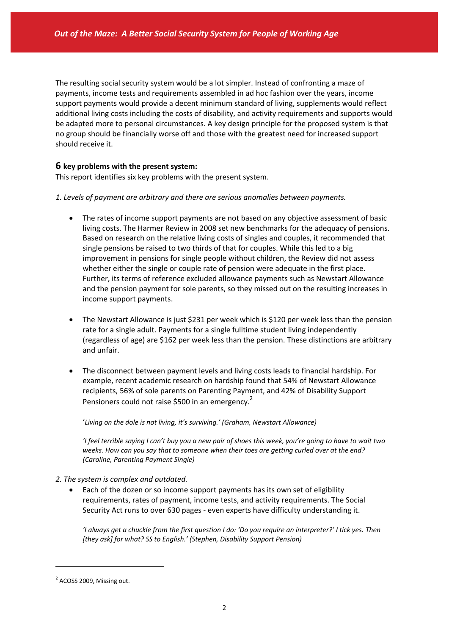The resulting social security system would be a lot simpler. Instead of confronting a maze of payments, income tests and requirements assembled in ad hoc fashion over the years, income support payments would provide a decent minimum standard of living, supplements would reflect additional living costs including the costs of disability, and activity requirements and supports would be adapted more to personal circumstances. A key design principle for the proposed system is that no group should be financially worse off and those with the greatest need for increased support should receive it.

### **6 key problems with the present system:**

This report identifies six key problems with the present system.

- *1. Levels of payment are arbitrary and there are serious anomalies between payments.*
	- The rates of income support payments are not based on any objective assessment of basic living costs. The Harmer Review in 2008 set new benchmarks for the adequacy of pensions. Based on research on the relative living costs of singles and couples, it recommended that single pensions be raised to two thirds of that for couples. While this led to a big improvement in pensions for single people without children, the Review did not assess whether either the single or couple rate of pension were adequate in the first place. Further, its terms of reference excluded allowance payments such as Newstart Allowance and the pension payment for sole parents, so they missed out on the resulting increases in income support payments.
	- The Newstart Allowance is just \$231 per week which is \$120 per week less than the pension rate for a single adult. Payments for a single fulltime student living independently (regardless of age) are \$162 per week less than the pension. These distinctions are arbitrary and unfair.
	- The disconnect between payment levels and living costs leads to financial hardship. For example, recent academic research on hardship found that 54% of Newstart Allowance recipients, 56% of sole parents on Parenting Payment, and 42% of Disability Support Pensioners could not raise \$500 in an emergency.<sup>2</sup>

'*Living on the dole is not living, it's surviving.' (Graham, Newstart Allowance)*

'I feel terrible saying I can't buy you a new pair of shoes this week, you're going to have to wait two *weeks. How can you say that to someone when their toes are getting curled over at the end? (Caroline, Parenting Payment Single)*

- *2. The system is complex and outdated.*
	- Each of the dozen or so income support payments has its own set of eligibility requirements, rates of payment, income tests, and activity requirements. The Social Security Act runs to over 630 pages ‐ even experts have difficulty understanding it.

'I always get a chuckle from the first question I do: 'Do you require an interpreter?' I tick yes. Then *[they ask] for what? SS to English.' (Stephen, Disability Support Pension)*

<sup>&</sup>lt;sup>2</sup> ACOSS 2009, Missing out.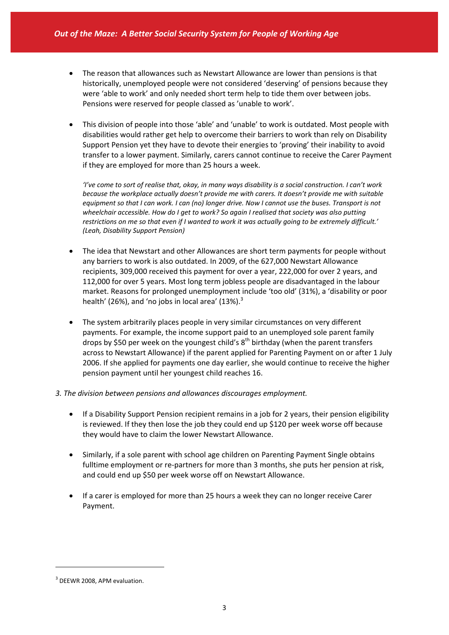- The reason that allowances such as Newstart Allowance are lower than pensions is that historically, unemployed people were not considered 'deserving' of pensions because they were 'able to work' and only needed short term help to tide them over between jobs. Pensions were reserved for people classed as 'unable to work'.
- This division of people into those 'able' and 'unable' to work is outdated. Most people with disabilities would rather get help to overcome their barriers to work than rely on Disability Support Pension yet they have to devote their energies to 'proving' their inability to avoid transfer to a lower payment. Similarly, carers cannot continue to receive the Carer Payment if they are employed for more than 25 hours a week.

'I've come to sort of realise that, okay, in many ways disability is a social construction. I can't work *because the workplace actually doesn't provide me with carers. It doesn't provide me with suitable* equipment so that I can work. I can (no) longer drive. Now I cannot use the buses. Transport is not *wheelchair accessible. How do I get to work? So again I realised that society was also putting* restrictions on me so that even if I wanted to work it was actually going to be extremely difficult.' *(Leah, Disability Support Pension)*

- The idea that Newstart and other Allowances are short term payments for people without any barriers to work is also outdated. In 2009, of the 627,000 Newstart Allowance recipients, 309,000 received this payment for over a year, 222,000 for over 2 years, and 112,000 for over 5 years. Most long term jobless people are disadvantaged in the labour market. Reasons for prolonged unemployment include 'too old' (31%), a 'disability or poor health' (26%), and 'no jobs in local area' (13%). $3$
- The system arbitrarily places people in very similar circumstances on very different payments. For example, the income support paid to an unemployed sole parent family drops by \$50 per week on the youngest child's  $8<sup>th</sup>$  birthday (when the parent transfers across to Newstart Allowance) if the parent applied for Parenting Payment on or after 1 July 2006. If she applied for payments one day earlier, she would continue to receive the higher pension payment until her youngest child reaches 16.

#### *3. The division between pensions and allowances discourages employment.*

- If a Disability Support Pension recipient remains in a job for 2 years, their pension eligibility is reviewed. If they then lose the job they could end up \$120 per week worse off because they would have to claim the lower Newstart Allowance.
- Similarly, if a sole parent with school age children on Parenting Payment Single obtains fulltime employment or re-partners for more than 3 months, she puts her pension at risk, and could end up \$50 per week worse off on Newstart Allowance.
- If a carer is employed for more than 25 hours a week they can no longer receive Carer Payment.

<sup>&</sup>lt;sup>3</sup> DEEWR 2008, APM evaluation.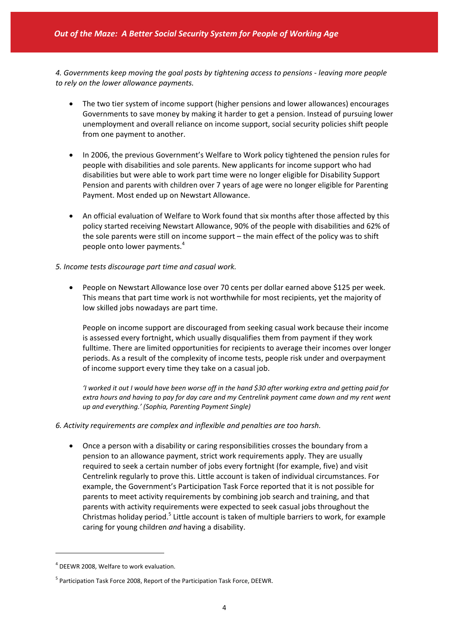*4. Governments keep moving the goal posts by tightening access to pensions ‐ leaving more people to rely on the lower allowance payments.*

- The two tier system of income support (higher pensions and lower allowances) encourages Governments to save money by making it harder to get a pension. Instead of pursuing lower unemployment and overall reliance on income support, social security policies shift people from one payment to another.
- In 2006, the previous Government's Welfare to Work policy tightened the pension rules for people with disabilities and sole parents. New applicants for income support who had disabilities but were able to work part time were no longer eligible for Disability Support Pension and parents with children over 7 years of age were no longer eligible for Parenting Payment. Most ended up on Newstart Allowance.
- An official evaluation of Welfare to Work found that six months after those affected by this policy started receiving Newstart Allowance, 90% of the people with disabilities and 62% of the sole parents were still on income support – the main effect of the policy was to shift people onto lower payments.<sup>4</sup>
- *5. Income tests discourage part time and casual work.*
	- People on Newstart Allowance lose over 70 cents per dollar earned above \$125 per week. This means that part time work is not worthwhile for most recipients, yet the majority of low skilled jobs nowadays are part time.

People on income support are discouraged from seeking casual work because their income is assessed every fortnight, which usually disqualifies them from payment if they work fulltime. There are limited opportunities for recipients to average their incomes over longer periods. As a result of the complexity of income tests, people risk under and overpayment of income support every time they take on a casual job.

'I worked it out I would have been worse off in the hand \$30 after working extra and getting paid for extra hours and having to pay for day care and my Centrelink payment came down and my rent went *up and everything.' (Sophia, Parenting Payment Single)*

- *6. Activity requirements are complex and inflexible and penalties are too harsh.*
	- Once a person with a disability or caring responsibilities crosses the boundary from a pension to an allowance payment, strict work requirements apply. They are usually required to seek a certain number of jobs every fortnight (for example, five) and visit Centrelink regularly to prove this. Little account is taken of individual circumstances. For example, the Government's Participation Task Force reported that it is not possible for parents to meet activity requirements by combining job search and training, and that parents with activity requirements were expected to seek casual jobs throughout the Christmas holiday period.<sup>5</sup> Little account is taken of multiple barriers to work, for example caring for young children *and* having a disability.

<sup>4</sup> DEEWR 2008, Welfare to work evaluation.

<sup>&</sup>lt;sup>5</sup> Participation Task Force 2008, Report of the Participation Task Force, DEEWR.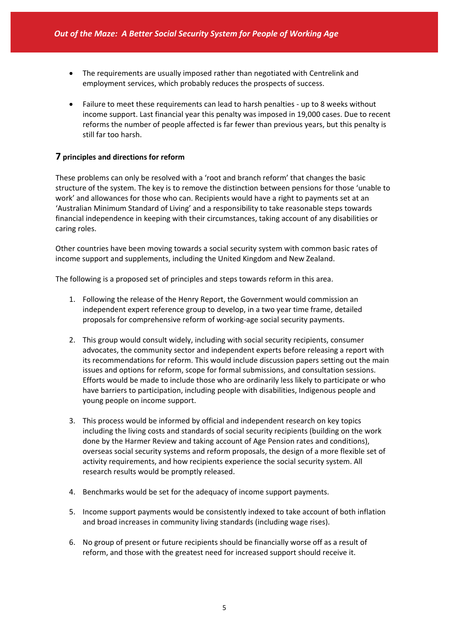- The requirements are usually imposed rather than negotiated with Centrelink and employment services, which probably reduces the prospects of success.
- Failure to meet these requirements can lead to harsh penalties up to 8 weeks without income support. Last financial year this penalty was imposed in 19,000 cases. Due to recent reforms the number of people affected is far fewer than previous years, but this penalty is still far too harsh.

### **7 principles and directions for reform**

These problems can only be resolved with a 'root and branch reform' that changes the basic structure of the system. The key is to remove the distinction between pensions for those 'unable to work' and allowances for those who can. Recipients would have a right to payments set at an 'Australian Minimum Standard of Living' and a responsibility to take reasonable steps towards financial independence in keeping with their circumstances, taking account of any disabilities or caring roles.

Other countries have been moving towards a social security system with common basic rates of income support and supplements, including the United Kingdom and New Zealand.

The following is a proposed set of principles and steps towards reform in this area.

- 1. Following the release of the Henry Report, the Government would commission an independent expert reference group to develop, in a two year time frame, detailed proposals for comprehensive reform of working‐age social security payments.
- 2. This group would consult widely, including with social security recipients, consumer advocates, the community sector and independent experts before releasing a report with its recommendations for reform. This would include discussion papers setting out the main issues and options for reform, scope for formal submissions, and consultation sessions. Efforts would be made to include those who are ordinarily less likely to participate or who have barriers to participation, including people with disabilities, Indigenous people and young people on income support.
- 3. This process would be informed by official and independent research on key topics including the living costs and standards of social security recipients (building on the work done by the Harmer Review and taking account of Age Pension rates and conditions), overseas social security systems and reform proposals, the design of a more flexible set of activity requirements, and how recipients experience the social security system. All research results would be promptly released.
- 4. Benchmarks would be set for the adequacy of income support payments.
- 5. Income support payments would be consistently indexed to take account of both inflation and broad increases in community living standards (including wage rises).
- 6. No group of present or future recipients should be financially worse off as a result of reform, and those with the greatest need for increased support should receive it.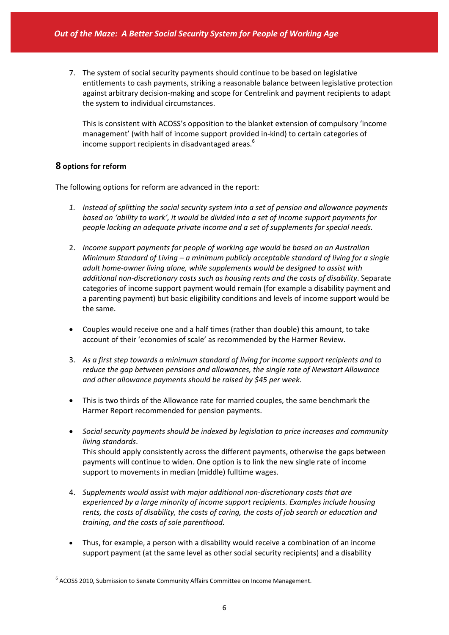7. The system of social security payments should continue to be based on legislative entitlements to cash payments, striking a reasonable balance between legislative protection against arbitrary decision‐making and scope for Centrelink and payment recipients to adapt the system to individual circumstances.

This is consistent with ACOSS's opposition to the blanket extension of compulsory 'income management' (with half of income support provided in‐kind) to certain categories of income support recipients in disadvantaged areas.<sup>6</sup>

### **8 options for reform**

 $\overline{a}$ 

The following options for reform are advanced in the report:

- *1. Instead of splitting the social security system into a set of pension and allowance payments based on 'ability to work', it would be divided into a set of income support payments for people lacking an adequate private income and a set of supplements for special needs.*
- 2. *Income support payments for people of working age would be based on an Australian Minimum Standard of Living – a minimum publicly acceptable standard of living for a single adult home‐owner living alone, while supplements would be designed to assist with additional non‐discretionary costs such as housing rents and the costs of disability*. Separate categories of income support payment would remain (for example a disability payment and a parenting payment) but basic eligibility conditions and levels of income support would be the same.
- Couples would receive one and a half times (rather than double) this amount, to take account of their 'economies of scale' as recommended by the Harmer Review.
- 3. *As a first step towards a minimum standard of living for income support recipients and to reduce the gap between pensions and allowances, the single rate of Newstart Allowance and other allowance payments should be raised by \$45 per week.*
- This is two thirds of the Allowance rate for married couples, the same benchmark the Harmer Report recommended for pension payments.
- *Social security payments should be indexed by legislation to price increases and community living standards*. This should apply consistently across the different payments, otherwise the gaps between payments will continue to widen. One option is to link the new single rate of income support to movements in median (middle) fulltime wages.
- 4. *Supplements would assist with major additional non‐discretionary costs that are experienced by a large minority of income support recipients. Examples include housing rents, the costs of disability, the costs of caring, the costs of job search or education and training, and the costs of sole parenthood.*
- Thus, for example, a person with a disability would receive a combination of an income support payment (at the same level as other social security recipients) and a disability

<sup>&</sup>lt;sup>6</sup> ACOSS 2010, Submission to Senate Community Affairs Committee on Income Management.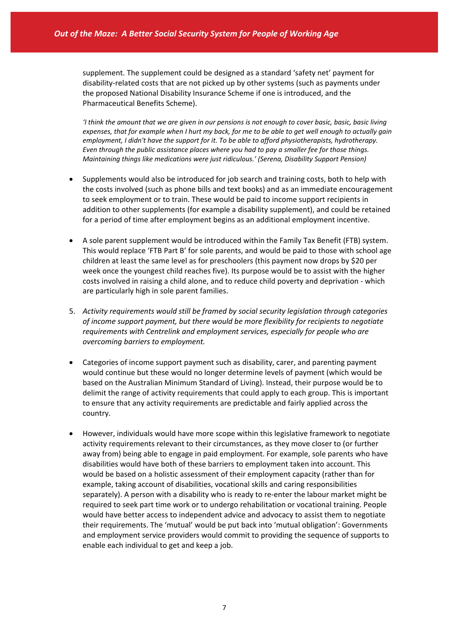supplement. The supplement could be designed as a standard 'safety net' payment for disability-related costs that are not picked up by other systems (such as payments under the proposed National Disability Insurance Scheme if one is introduced, and the Pharmaceutical Benefits Scheme).

I think the amount that we are given in our pensions is not enough to cover basic, basic, basic living expenses, that for example when I hurt my back, for me to be able to get well enough to actually gain *employment, I didn't have the support for it. To be able to afford physiotherapists, hydrotherapy. Even through the public assistance places where you had to pay a smaller fee for those things. Maintaining things like medications were just ridiculous.' (Serena, Disability Support Pension)*

- Supplements would also be introduced for job search and training costs, both to help with the costs involved (such as phone bills and text books) and as an immediate encouragement to seek employment or to train. These would be paid to income support recipients in addition to other supplements (for example a disability supplement), and could be retained for a period of time after employment begins as an additional employment incentive.
- A sole parent supplement would be introduced within the Family Tax Benefit (FTB) system. This would replace 'FTB Part B' for sole parents, and would be paid to those with school age children at least the same level as for preschoolers (this payment now drops by \$20 per week once the youngest child reaches five). Its purpose would be to assist with the higher costs involved in raising a child alone, and to reduce child poverty and deprivation ‐ which are particularly high in sole parent families.
- 5. *Activity requirements would still be framed by social security legislation through categories of income support payment, but there would be more flexibility for recipients to negotiate requirements with Centrelink and employment services, especially for people who are overcoming barriers to employment.*
- Categories of income support payment such as disability, carer, and parenting payment would continue but these would no longer determine levels of payment (which would be based on the Australian Minimum Standard of Living). Instead, their purpose would be to delimit the range of activity requirements that could apply to each group. This is important to ensure that any activity requirements are predictable and fairly applied across the country.
- However, individuals would have more scope within this legislative framework to negotiate activity requirements relevant to their circumstances, as they move closer to (or further away from) being able to engage in paid employment. For example, sole parents who have disabilities would have both of these barriers to employment taken into account. This would be based on a holistic assessment of their employment capacity (rather than for example, taking account of disabilities, vocational skills and caring responsibilities separately). A person with a disability who is ready to re-enter the labour market might be required to seek part time work or to undergo rehabilitation or vocational training. People would have better access to independent advice and advocacy to assist them to negotiate their requirements. The 'mutual' would be put back into 'mutual obligation': Governments and employment service providers would commit to providing the sequence of supports to enable each individual to get and keep a job.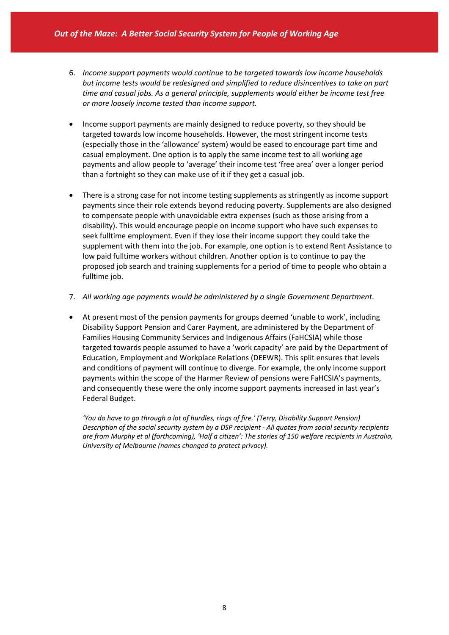- 6. *Income support payments would continue to be targeted towards low income households but income tests would be redesigned and simplified to reduce disincentives to take on part time and casual jobs. As a general principle, supplements would either be income test free or more loosely income tested than income support.*
- Income support payments are mainly designed to reduce poverty, so they should be targeted towards low income households. However, the most stringent income tests (especially those in the 'allowance' system) would be eased to encourage part time and casual employment. One option is to apply the same income test to all working age payments and allow people to 'average' their income test 'free area' over a longer period than a fortnight so they can make use of it if they get a casual job.
- There is a strong case for not income testing supplements as stringently as income support payments since their role extends beyond reducing poverty. Supplements are also designed to compensate people with unavoidable extra expenses (such as those arising from a disability). This would encourage people on income support who have such expenses to seek fulltime employment. Even if they lose their income support they could take the supplement with them into the job. For example, one option is to extend Rent Assistance to low paid fulltime workers without children. Another option is to continue to pay the proposed job search and training supplements for a period of time to people who obtain a fulltime job.
- 7. *All working age payments would be administered by a single Government Department*.
- At present most of the pension payments for groups deemed 'unable to work', including Disability Support Pension and Carer Payment, are administered by the Department of Families Housing Community Services and Indigenous Affairs (FaHCSIA) while those targeted towards people assumed to have a 'work capacity' are paid by the Department of Education, Employment and Workplace Relations (DEEWR). This split ensures that levels and conditions of payment will continue to diverge. For example, the only income support payments within the scope of the Harmer Review of pensions were FaHCSIA's payments, and consequently these were the only income support payments increased in last year's Federal Budget.

*'You do have to go through a lot of hurdles, rings of fire.' (Terry, Disability Support Pension) Description of the social security system by a DSP recipient ‐ All quotes from social security recipients* are from Murphy et al (forthcoming), 'Half a citizen': The stories of 150 welfare recipients in Australia, *University of Melbourne (names changed to protect privacy).*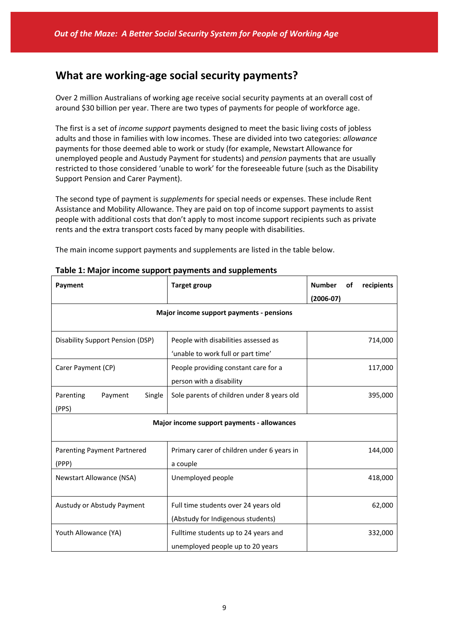# **What are working‐age social security payments?**

Over 2 million Australians of working age receive social security payments at an overall cost of around \$30 billion per year. There are two types of payments for people of workforce age.

The first is a set of *income support* payments designed to meet the basic living costs of jobless adults and those in families with low incomes. These are divided into two categories: *allowance* payments for those deemed able to work or study (for example, Newstart Allowance for unemployed people and Austudy Payment for students) and *pension* payments that are usually restricted to those considered 'unable to work' for the foreseeable future (such as the Disability Support Pension and Carer Payment).

The second type of payment is *supplements* for special needs or expenses. These include Rent Assistance and Mobility Allowance. They are paid on top of income support payments to assist people with additional costs that don't apply to most income support recipients such as private rents and the extra transport costs faced by many people with disabilities.

The main income support payments and supplements are listed in the table below.

| Payment                                    | <b>Target group</b>                        | <b>Number</b><br>recipients<br>οf<br>$(2006-07)$ |  |  |
|--------------------------------------------|--------------------------------------------|--------------------------------------------------|--|--|
|                                            | Major income support payments - pensions   |                                                  |  |  |
|                                            |                                            |                                                  |  |  |
| Disability Support Pension (DSP)           | People with disabilities assessed as       | 714,000                                          |  |  |
|                                            | 'unable to work full or part time'         |                                                  |  |  |
| Carer Payment (CP)                         | People providing constant care for a       | 117,000                                          |  |  |
|                                            | person with a disability                   |                                                  |  |  |
| Parenting<br>Single<br>Payment             | Sole parents of children under 8 years old | 395,000                                          |  |  |
| (PPS)                                      |                                            |                                                  |  |  |
| Major income support payments - allowances |                                            |                                                  |  |  |
|                                            |                                            |                                                  |  |  |
| <b>Parenting Payment Partnered</b>         | Primary carer of children under 6 years in | 144,000                                          |  |  |
| (PPP)                                      | a couple                                   |                                                  |  |  |
| Newstart Allowance (NSA)                   | Unemployed people                          | 418,000                                          |  |  |
|                                            |                                            |                                                  |  |  |
| Austudy or Abstudy Payment                 | Full time students over 24 years old       | 62,000                                           |  |  |
|                                            | (Abstudy for Indigenous students)          |                                                  |  |  |
| Youth Allowance (YA)                       | Fulltime students up to 24 years and       | 332,000                                          |  |  |
|                                            | unemployed people up to 20 years           |                                                  |  |  |

|  | Table 1: Major income support payments and supplements |  |
|--|--------------------------------------------------------|--|
|--|--------------------------------------------------------|--|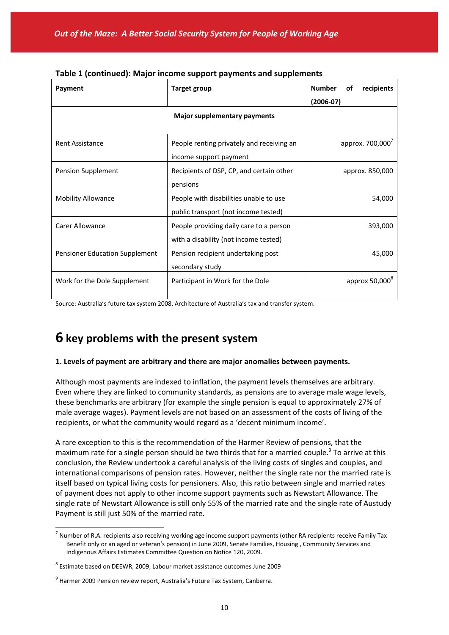| Payment                        | <b>Target group</b>                       | <b>Number</b><br>recipients<br>οf |  |
|--------------------------------|-------------------------------------------|-----------------------------------|--|
|                                |                                           | $(2006-07)$                       |  |
|                                | Major supplementary payments              |                                   |  |
|                                |                                           |                                   |  |
| <b>Rent Assistance</b>         | People renting privately and receiving an | approx. 700,000'                  |  |
|                                | income support payment                    |                                   |  |
| Pension Supplement             | Recipients of DSP, CP, and certain other  | approx. 850,000                   |  |
|                                | pensions                                  |                                   |  |
| <b>Mobility Allowance</b>      | People with disabilities unable to use    | 54,000                            |  |
|                                | public transport (not income tested)      |                                   |  |
| Carer Allowance                | People providing daily care to a person   | 393,000                           |  |
|                                | with a disability (not income tested)     |                                   |  |
| Pensioner Education Supplement | Pension recipient undertaking post        | 45,000                            |  |
|                                | secondary study                           |                                   |  |
| Work for the Dole Supplement   | Participant in Work for the Dole          | approx 50,000 <sup>8</sup>        |  |
|                                |                                           |                                   |  |

|  | Table 1 (continued): Major income support payments and supplements |  |
|--|--------------------------------------------------------------------|--|
|--|--------------------------------------------------------------------|--|

Source: Australia's future tax system 2008, Architecture of Australia's tax and transfer system.

# **6 key problems with the present system**

#### **1. Levels of payment are arbitrary and there are major anomalies between payments.**

Although most payments are indexed to inflation, the payment levels themselves are arbitrary. Even where they are linked to community standards, as pensions are to average male wage levels, these benchmarks are arbitrary (for example the single pension is equal to approximately 27% of male average wages). Payment levels are not based on an assessment of the costs of living of the recipients, or what the community would regard as a 'decent minimum income'.

A rare exception to this is the recommendation of the Harmer Review of pensions, that the maximum rate for a single person should be two thirds that for a married couple.<sup>9</sup> To arrive at this conclusion, the Review undertook a careful analysis of the living costs of singles and couples, and international comparisons of pension rates. However, neither the single rate nor the married rate is itself based on typical living costs for pensioners. Also, this ratio between single and married rates of payment does not apply to other income support payments such as Newstart Allowance. The single rate of Newstart Allowance is still only 55% of the married rate and the single rate of Austudy Payment is still just 50% of the married rate.

 $^7$  Number of R.A. recipients also receiving working age income support payments (other RA recipients receive Family Tax Benefit only or an aged or veteran's pension) in June 2009, Senate Families, Housing , Community Services and Indigenous Affairs Estimates Committee Question on Notice 120, 2009.

<sup>8</sup> Estimate based on DEEWR, 2009, Labour market assistance outcomes June 2009

<sup>&</sup>lt;sup>9</sup> Harmer 2009 Pension review report, Australia's Future Tax System, Canberra.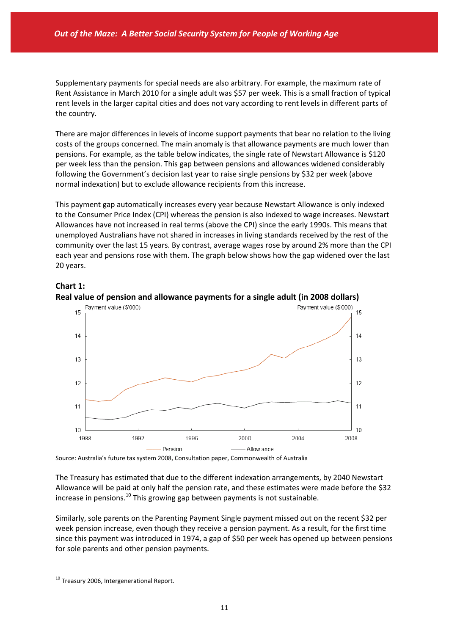Supplementary payments for special needs are also arbitrary. For example, the maximum rate of Rent Assistance in March 2010 for a single adult was \$57 per week. This is a small fraction of typical rent levels in the larger capital cities and does not vary according to rent levels in different parts of the country.

There are major differences in levels of income support payments that bear no relation to the living costs of the groups concerned. The main anomaly is that allowance payments are much lower than pensions. For example, as the table below indicates, the single rate of Newstart Allowance is \$120 per week less than the pension. This gap between pensions and allowances widened considerably following the Government's decision last year to raise single pensions by \$32 per week (above normal indexation) but to exclude allowance recipients from this increase.

This payment gap automatically increases every year because Newstart Allowance is only indexed to the Consumer Price Index (CPI) whereas the pension is also indexed to wage increases. Newstart Allowances have not increased in real terms (above the CPI) since the early 1990s. This means that unemployed Australians have not shared in increases in living standards received by the rest of the community over the last 15 years. By contrast, average wages rose by around 2% more than the CPI each year and pensions rose with them. The graph below shows how the gap widened over the last 20 years.

#### **Chart 1:**





Source: Australia's future tax system 2008, Consultation paper, Commonwealth of Australia

The Treasury has estimated that due to the different indexation arrangements, by 2040 Newstart Allowance will be paid at only half the pension rate, and these estimates were made before the \$32 increase in pensions. $^{10}$  This growing gap between payments is not sustainable.

Similarly, sole parents on the Parenting Payment Single payment missed out on the recent \$32 per week pension increase, even though they receive a pension payment. As a result, for the first time since this payment was introduced in 1974, a gap of \$50 per week has opened up between pensions for sole parents and other pension payments.

<sup>&</sup>lt;sup>10</sup> Treasury 2006, Intergenerational Report.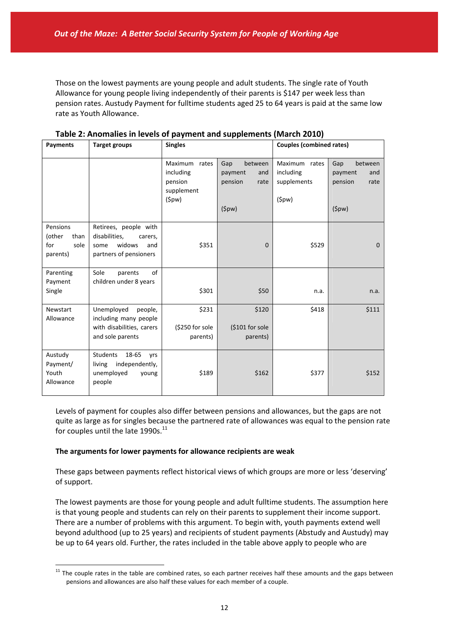Those on the lowest payments are young people and adult students. The single rate of Youth Allowance for young people living independently of their parents is \$147 per week less than pension rates. Austudy Payment for fulltime students aged 25 to 64 years is paid at the same low rate as Youth Allowance.

| Payments                                              | <b>Target groups</b>                                                                                 | <b>Singles</b>                                               |                                                              | <b>Couples (combined rates)</b>                       |                                                              |
|-------------------------------------------------------|------------------------------------------------------------------------------------------------------|--------------------------------------------------------------|--------------------------------------------------------------|-------------------------------------------------------|--------------------------------------------------------------|
|                                                       |                                                                                                      | Maximum rates<br>including<br>pension<br>supplement<br>(5pw) | between<br>Gap<br>and<br>payment<br>pension<br>rate<br>(5pw) | Maximum<br>rates<br>including<br>supplements<br>(5pw) | between<br>Gap<br>payment<br>and<br>pension<br>rate<br>(5pw) |
| Pensions<br>(other<br>than<br>sole<br>for<br>parents) | Retirees, people with<br>disabilities,<br>carers,<br>widows<br>and<br>some<br>partners of pensioners | \$351                                                        | $\mathbf{0}$                                                 | \$529                                                 | $\mathbf{0}$                                                 |
| Parenting<br>Payment<br>Single                        | Sole<br>of<br>parents<br>children under 8 years                                                      | \$301                                                        | \$50                                                         | n.a.                                                  | n.a.                                                         |
| Newstart<br>Allowance                                 | Unemployed<br>people,<br>including many people<br>with disabilities, carers<br>and sole parents      | \$231<br>(\$250 for sole<br>parents)                         | \$120<br>$$101$ for sole<br>parents)                         | \$418                                                 | \$111                                                        |
| Austudy<br>Payment/<br>Youth<br>Allowance             | <b>Students</b><br>18-65<br>yrs<br>independently,<br>living<br>unemployed<br>young<br>people         | \$189                                                        | \$162                                                        | \$377                                                 | \$152                                                        |

**Table 2: Anomalies in levels of payment and supplements (March 2010)**

Levels of payment for couples also differ between pensions and allowances, but the gaps are not quite as large as for singles because the partnered rate of allowances was equal to the pension rate for couples until the late  $1990s.<sup>11</sup>$ 

#### **The arguments for lower payments for allowance recipients are weak**

 $\overline{a}$ 

These gaps between payments reflect historical views of which groups are more or less 'deserving' of support.

The lowest payments are those for young people and adult fulltime students. The assumption here is that young people and students can rely on their parents to supplement their income support. There are a number of problems with this argument. To begin with, youth payments extend well beyond adulthood (up to 25 years) and recipients of student payments (Abstudy and Austudy) may be up to 64 years old. Further, the rates included in the table above apply to people who are

 $11$  The couple rates in the table are combined rates, so each partner receives half these amounts and the gaps between pensions and allowances are also half these values for each member of a couple.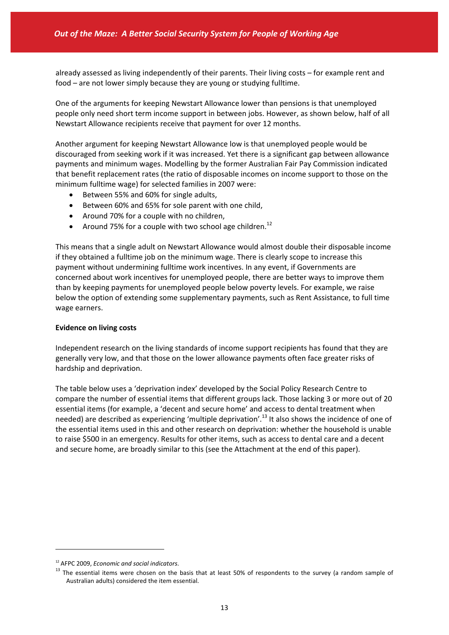already assessed as living independently of their parents. Their living costs – for example rent and food – are not lower simply because they are young or studying fulltime.

One of the arguments for keeping Newstart Allowance lower than pensions is that unemployed people only need short term income support in between jobs. However, as shown below, half of all Newstart Allowance recipients receive that payment for over 12 months.

Another argument for keeping Newstart Allowance low is that unemployed people would be discouraged from seeking work if it was increased. Yet there is a significant gap between allowance payments and minimum wages. Modelling by the former Australian Fair Pay Commission indicated that benefit replacement rates (the ratio of disposable incomes on income support to those on the minimum fulltime wage) for selected families in 2007 were:

- Between 55% and 60% for single adults,
- Between 60% and 65% for sole parent with one child,
- Around 70% for a couple with no children,
- Around 75% for a couple with two school age children.<sup>12</sup>

This means that a single adult on Newstart Allowance would almost double their disposable income if they obtained a fulltime job on the minimum wage. There is clearly scope to increase this payment without undermining fulltime work incentives. In any event, if Governments are concerned about work incentives for unemployed people, there are better ways to improve them than by keeping payments for unemployed people below poverty levels. For example, we raise below the option of extending some supplementary payments, such as Rent Assistance, to full time wage earners.

#### **Evidence on living costs**

Independent research on the living standards of income support recipients has found that they are generally very low, and that those on the lower allowance payments often face greater risks of hardship and deprivation.

The table below uses a 'deprivation index' developed by the Social Policy Research Centre to compare the number of essential items that different groups lack. Those lacking 3 or more out of 20 essential items (for example, a 'decent and secure home' and access to dental treatment when needed) are described as experiencing 'multiple deprivation'.<sup>13</sup> It also shows the incidence of one of the essential items used in this and other research on deprivation: whether the household is unable to raise \$500 in an emergency. Results for other items, such as access to dental care and a decent and secure home, are broadly similar to this (see the Attachment at the end of this paper).

<sup>12</sup> AFPC 2009, *Economic and social indicators*.

<sup>&</sup>lt;sup>13</sup> The essential items were chosen on the basis that at least 50% of respondents to the survey (a random sample of Australian adults) considered the item essential.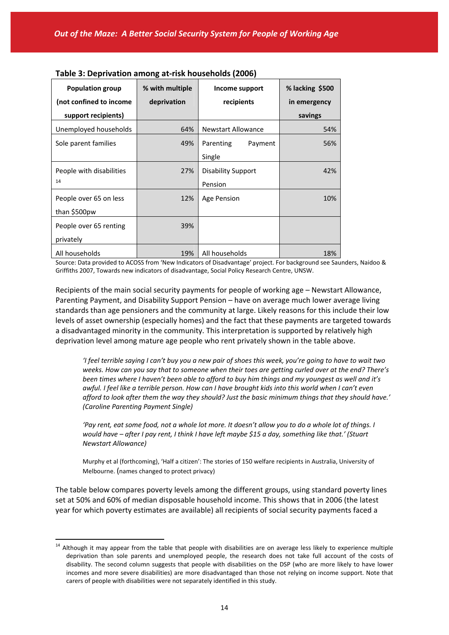| <b>Population group</b>  | % with multiple | Income support            | % lacking \$500 |
|--------------------------|-----------------|---------------------------|-----------------|
| (not confined to income  | deprivation     | recipients                | in emergency    |
| support recipients)      |                 |                           | savings         |
| Unemployed households    | 64%             | <b>Newstart Allowance</b> | 54%             |
| Sole parent families     | 49%             | Parenting<br>Payment      | 56%             |
|                          |                 | Single                    |                 |
| People with disabilities | 27%             | <b>Disability Support</b> | 42%             |
| 14                       |                 | Pension                   |                 |
| People over 65 on less   | 12%             | Age Pension               | 10%             |
| than \$500pw             |                 |                           |                 |
| People over 65 renting   | 39%             |                           |                 |
| privately                |                 |                           |                 |
| All households           | 19%             | All households            | 18%             |

| Table 3: Deprivation among at-risk households (2006) |  |  |
|------------------------------------------------------|--|--|
|------------------------------------------------------|--|--|

Source: Data provided to ACOSS from 'New Indicators of Disadvantage' project. For background see Saunders, Naidoo & Griffiths 2007, Towards new indicators of disadvantage, Social Policy Research Centre, UNSW.

Recipients of the main social security payments for people of working age – Newstart Allowance, Parenting Payment, and Disability Support Pension – have on average much lower average living standards than age pensioners and the community at large. Likely reasons for this include their low levels of asset ownership (especially homes) and the fact that these payments are targeted towards a disadvantaged minority in the community. This interpretation is supported by relatively high deprivation level among mature age people who rent privately shown in the table above.

'I feel terrible saying I can't buy you a new pair of shoes this week, you're going to have to wait two weeks. How can you say that to someone when their toes are aetting curled over at the end? There's been times where I haven't been able to afford to buy him things and my youngest as well and it's awful. I feel like a terrible person. How can I have brought kids into this world when I can't even ".afford to look after them the way they should? Just the basic minimum things that they should have. *(Caroline Parenting Payment Single)*

'Pay rent, eat some food, not a whole lot more. It doesn't allow you to do a whole lot of things. I would have - after I pay rent, I think I have left maybe \$15 a day, something like that.' (Stuart *Newstart Allowance)*

Murphy et al (forthcoming), 'Half a citizen': The stories of 150 welfare recipients in Australia, University of Melbourne. (names changed to protect privacy)

The table below compares poverty levels among the different groups, using standard poverty lines set at 50% and 60% of median disposable household income. This shows that in 2006 (the latest year for which poverty estimates are available) all recipients of social security payments faced a

<sup>&</sup>lt;sup>14</sup> Although it may appear from the table that people with disabilities are on average less likely to experience multiple deprivation than sole parents and unemployed people, the research does not take full account of the costs of disability. The second column suggests that people with disabilities on the DSP (who are more likely to have lower incomes and more severe disabilities) are more disadvantaged than those not relying on income support. Note that carers of people with disabilities were not separately identified in this study.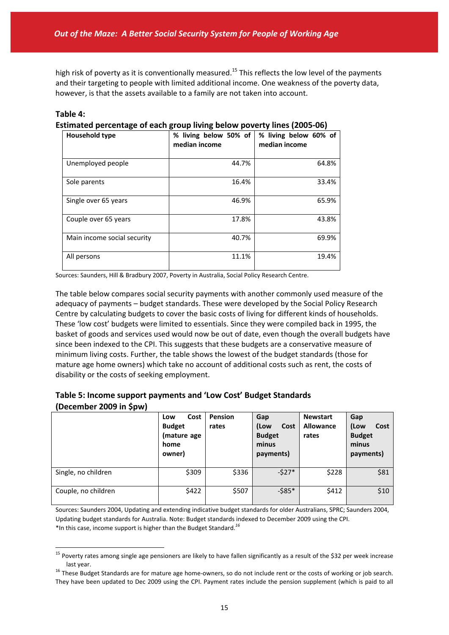high risk of poverty as it is conventionally measured.<sup>15</sup> This reflects the low level of the payments and their targeting to people with limited additional income. One weakness of the poverty data, however, is that the assets available to a family are not taken into account.

**Table 4:**

 $\overline{a}$ 

**Estimated percentage of each group living below poverty lines (2005‐06)**

| <b>Household type</b>       | % living below 50% of<br>median income | % living below 60% of<br>median income |
|-----------------------------|----------------------------------------|----------------------------------------|
| Unemployed people           | 44.7%                                  | 64.8%                                  |
| Sole parents                | 16.4%                                  | 33.4%                                  |
| Single over 65 years        | 46.9%                                  | 65.9%                                  |
| Couple over 65 years        | 17.8%                                  | 43.8%                                  |
| Main income social security | 40.7%                                  | 69.9%                                  |
| All persons                 | 11.1%                                  | 19.4%                                  |

Sources: Saunders, Hill & Bradbury 2007, Poverty in Australia, Social Policy Research Centre.

The table below compares social security payments with another commonly used measure of the adequacy of payments – budget standards. These were developed by the Social Policy Research Centre by calculating budgets to cover the basic costs of living for different kinds of households. These 'low cost' budgets were limited to essentials. Since they were compiled back in 1995, the basket of goods and services used would now be out of date, even though the overall budgets have since been indexed to the CPI. This suggests that these budgets are a conservative measure of minimum living costs. Further, the table shows the lowest of the budget standards (those for mature age home owners) which take no account of additional costs such as rent, the costs of disability or the costs of seeking employment.

| Table 5: Income support payments and 'Low Cost' Budget Standards |  |
|------------------------------------------------------------------|--|
| (December 2009 in \$pw)                                          |  |

|                     | Cost<br>Low<br><b>Budget</b><br>(mature age<br>home<br>owner) | <b>Pension</b><br>rates | Gap<br>(Low<br>Cost<br><b>Budget</b><br>minus<br>payments) | <b>Newstart</b><br>Allowance<br>rates | Gap<br>(Low<br>Cost<br><b>Budget</b><br>minus<br>payments) |
|---------------------|---------------------------------------------------------------|-------------------------|------------------------------------------------------------|---------------------------------------|------------------------------------------------------------|
| Single, no children | \$309                                                         | \$336                   | $-527*$                                                    | \$228                                 | \$81                                                       |
| Couple, no children | \$422                                                         | \$507                   | $-585*$                                                    | \$412                                 | \$10                                                       |

Sources: Saunders 2004, Updating and extending indicative budget standards for older Australians, SPRC; Saunders 2004, Updating budget standards for Australia. Note: Budget standards indexed to December 2009 using the CPI. \*In this case, income support is higher than the Budget Standard.*<sup>16</sup>*

<sup>&</sup>lt;sup>15</sup> Poverty rates among single age pensioners are likely to have fallen significantly as a result of the \$32 per week increase last year.

 $16$  These Budget Standards are for mature age home-owners, so do not include rent or the costs of working or job search. They have been updated to Dec 2009 using the CPI. Payment rates include the pension supplement (which is paid to all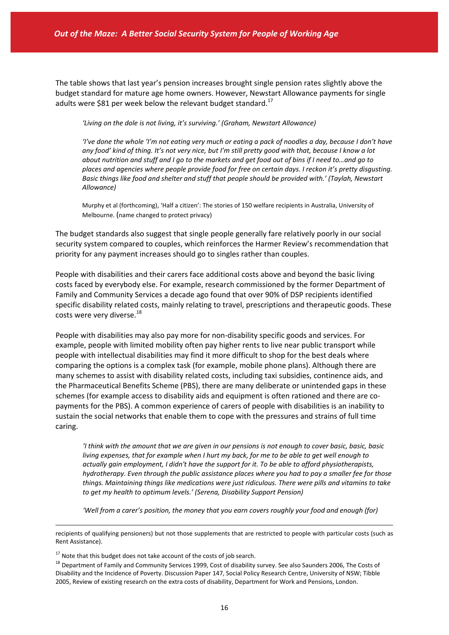The table shows that last year's pension increases brought single pension rates slightly above the budget standard for mature age home owners. However, Newstart Allowance payments for single adults were \$81 per week below the relevant budget standard.<sup>17</sup>

*'Living on the dole is not living, it's surviving.' (Graham, Newstart Allowance)*

'i've done the whole 'i'm not eating very much or eating a pack of noodles a day, because I don't have any food' kind of thing. It's not very nice, but I'm still pretty good with that, because I know a lot about nutrition and stuff and I go to the markets and get food out of bins if I need to...and go to *places and agencies where people provide food for free on certain days. I reckon it's pretty disgusting. Basic things like food and shelter and stuff that people should be provided with.' (Taylah, Newstart Allowance)*

Murphy et al (forthcoming), 'Half a citizen': The stories of 150 welfare recipients in Australia, University of Melbourne. (name changed to protect privacy)

The budget standards also suggest that single people generally fare relatively poorly in our social security system compared to couples, which reinforces the Harmer Review's recommendation that priority for any payment increases should go to singles rather than couples.

People with disabilities and their carers face additional costs above and beyond the basic living costs faced by everybody else. For example, research commissioned by the former Department of Family and Community Services a decade ago found that over 90% of DSP recipients identified specific disability related costs, mainly relating to travel, prescriptions and therapeutic goods. These costs were very diverse.<sup>18</sup>

People with disabilities may also pay more for non‐disability specific goods and services. For example, people with limited mobility often pay higher rents to live near public transport while people with intellectual disabilities may find it more difficult to shop for the best deals where comparing the options is a complex task (for example, mobile phone plans). Although there are many schemes to assist with disability related costs, including taxi subsidies, continence aids, and the Pharmaceutical Benefits Scheme (PBS), there are many deliberate or unintended gaps in these schemes (for example access to disability aids and equipment is often rationed and there are copayments for the PBS). A common experience of carers of people with disabilities is an inability to sustain the social networks that enable them to cope with the pressures and strains of full time caring.

I think with the amount that we are given in our pensions is not enough to cover basic, basic, basic living expenses, that for example when I hurt my back, for me to be able to get well enough to *actually gain employment, I didn't have the support for it. To be able to afford physiotherapists, hydrotherapy. Even through the public assistance places where you had to pay a smaller fee for those things. Maintaining things like medications were just ridiculous. There were pills and vitamins to take to get my health to optimum levels.' (Serena, Disability Support Pension)*

*'Well from a carer's position, the money that you earn covers roughly your food and enough (for)*

1

recipients of qualifying pensioners) but not those supplements that are restricted to people with particular costs (such as Rent Assistance).

 $17$  Note that this budget does not take account of the costs of job search.

<sup>&</sup>lt;sup>18</sup> Department of Family and Community Services 1999, Cost of disability survey. See also Saunders 2006, The Costs of Disability and the Incidence of Poverty. Discussion Paper 147, Social Policy Research Centre, University of NSW; Tibble 2005, Review of existing research on the extra costs of disability, Department for Work and Pensions, London.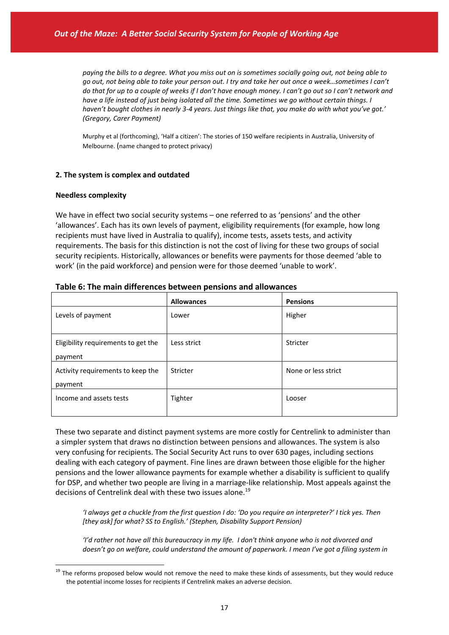paying the bills to a degree. What you miss out on is sometimes socially going out, not being able to go out, not being able to take your person out. I try and take her out once a week...sometimes I can't do that for up to a couple of weeks if I don't have enough money. I can't go out so I can't network and *have a life instead of just being isolated all the time. Sometimes we go without certain things. I* haven't bought clothes in nearly 3-4 years. Just things like that, you make do with what you've got.' *(Gregory, Carer Payment)* 

Murphy et al (forthcoming), 'Half a citizen': The stories of 150 welfare recipients in Australia, University of Melbourne. (name changed to protect privacy)

#### **2. The system is complex and outdated**

#### **Needless complexity**

 $\overline{a}$ 

We have in effect two social security systems – one referred to as 'pensions' and the other 'allowances'. Each has its own levels of payment, eligibility requirements (for example, how long recipients must have lived in Australia to qualify), income tests, assets tests, and activity requirements. The basis for this distinction is not the cost of living for these two groups of social security recipients. Historically, allowances or benefits were payments for those deemed 'able to work' (in the paid workforce) and pension were for those deemed 'unable to work'.

|                                                | <b>Allowances</b> | <b>Pensions</b>     |
|------------------------------------------------|-------------------|---------------------|
| Levels of payment                              | Lower             | Higher              |
| Eligibility requirements to get the<br>payment | Less strict       | Stricter            |
| Activity requirements to keep the<br>payment   | Stricter          | None or less strict |
| Income and assets tests                        | Tighter           | Looser              |

| Table 6: The main differences between pensions and allowances |  |  |  |
|---------------------------------------------------------------|--|--|--|
|---------------------------------------------------------------|--|--|--|

These two separate and distinct payment systems are more costly for Centrelink to administer than a simpler system that draws no distinction between pensions and allowances. The system is also very confusing for recipients. The Social Security Act runs to over 630 pages, including sections dealing with each category of payment. Fine lines are drawn between those eligible for the higher pensions and the lower allowance payments for example whether a disability is sufficient to qualify for DSP, and whether two people are living in a marriage-like relationship. Most appeals against the decisions of Centrelink deal with these two issues alone.<sup>19</sup>

'I always aet a chuckle from the first auestion I do: 'Do you reauire an interpreter?' I tick yes. Then *[they ask] for what? SS to English.' (Stephen, Disability Support Pension)*

'I'd rather not have all this bureaucracy in my life. I don't think anyone who is not divorced and doesn't go on welfare, could understand the amount of paperwork. I mean I've got a filing system in

<sup>&</sup>lt;sup>19</sup> The reforms proposed below would not remove the need to make these kinds of assessments, but they would reduce the potential income losses for recipients if Centrelink makes an adverse decision.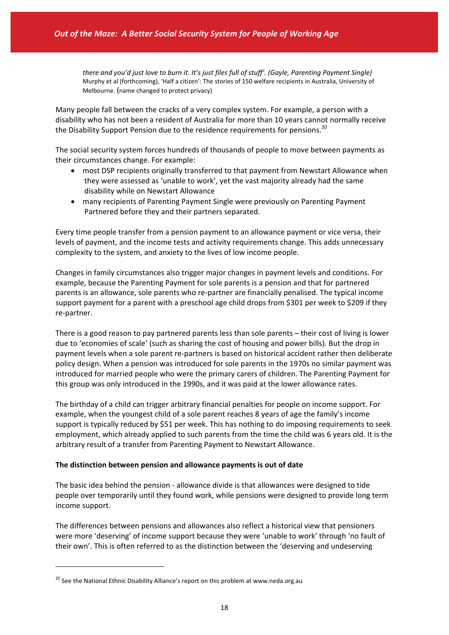there and you'd just love to burn it. It's just files full of stuff'. (Gayle, Parenting Payment Single) Murphy et al (forthcoming), 'Half a citizen': The stories of 150 welfare recipients in Australia, University of Melbourne. (name changed to protect privacy)

Many people fall between the cracks of a very complex system. For example, a person with a disability who has not been a resident of Australia for more than 10 years cannot normally receive the Disability Support Pension due to the residence requirements for pensions.<sup>20</sup>

The social security system forces hundreds of thousands of people to move between payments as their circumstances change. For example:

- most DSP recipients originally transferred to that payment from Newstart Allowance when they were assessed as 'unable to work', yet the vast majority already had the same disability while on Newstart Allowance
- many recipients of Parenting Payment Single were previously on Parenting Payment Partnered before they and their partners separated.

Every time people transfer from a pension payment to an allowance payment or vice versa, their levels of payment, and the income tests and activity requirements change. This adds unnecessary complexity to the system, and anxiety to the lives of low income people.

Changes in family circumstances also trigger major changes in payment levels and conditions. For example, because the Parenting Payment for sole parents is a pension and that for partnered parents is an allowance, sole parents who re‐partner are financially penalised. The typical income support payment for a parent with a preschool age child drops from \$301 per week to \$209 if they re‐partner.

There is a good reason to pay partnered parents less than sole parents – their cost of living is lower due to 'economies of scale' (such as sharing the cost of housing and power bills). But the drop in payment levels when a sole parent re-partners is based on historical accident rather then deliberate policy design. When a pension was introduced for sole parents in the 1970s no similar payment was introduced for married people who were the primary carers of children. The Parenting Payment for this group was only introduced in the 1990s, and it was paid at the lower allowance rates.

The birthday of a child can trigger arbitrary financial penalties for people on income support. For example, when the youngest child of a sole parent reaches 8 years of age the family's income support is typically reduced by \$51 per week. This has nothing to do imposing requirements to seek employment, which already applied to such parents from the time the child was 6 years old. It is the arbitrary result of a transfer from Parenting Payment to Newstart Allowance.

#### **The distinction between pension and allowance payments is out of date**

The basic idea behind the pension ‐ allowance divide is that allowances were designed to tide people over temporarily until they found work, while pensions were designed to provide long term income support.

The differences between pensions and allowances also reflect a historical view that pensioners were more 'deserving' of income support because they were 'unable to work' through 'no fault of their own'. This is often referred to as the distinction between the 'deserving and undeserving

 $20$  See the National Ethnic Disability Alliance's report on this problem at www.neda.org.au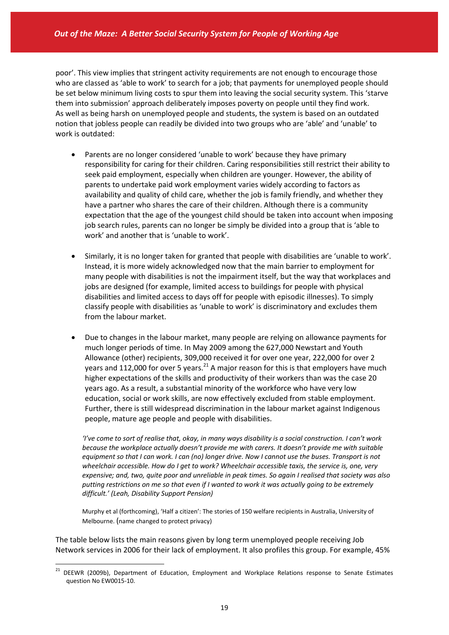poor'. This view implies that stringent activity requirements are not enough to encourage those who are classed as 'able to work' to search for a job; that payments for unemployed people should be set below minimum living costs to spur them into leaving the social security system. This 'starve them into submission' approach deliberately imposes poverty on people until they find work. As well as being harsh on unemployed people and students, the system is based on an outdated notion that jobless people can readily be divided into two groups who are 'able' and 'unable' to work is outdated:

- Parents are no longer considered 'unable to work' because they have primary responsibility for caring for their children. Caring responsibilities still restrict their ability to seek paid employment, especially when children are younger. However, the ability of parents to undertake paid work employment varies widely according to factors as availability and quality of child care, whether the job is family friendly, and whether they have a partner who shares the care of their children. Although there is a community expectation that the age of the youngest child should be taken into account when imposing job search rules, parents can no longer be simply be divided into a group that is 'able to work' and another that is 'unable to work'.
- Similarly, it is no longer taken for granted that people with disabilities are 'unable to work'. Instead, it is more widely acknowledged now that the main barrier to employment for many people with disabilities is not the impairment itself, but the way that workplaces and jobs are designed (for example, limited access to buildings for people with physical disabilities and limited access to days off for people with episodic illnesses). To simply classify people with disabilities as 'unable to work' is discriminatory and excludes them from the labour market.
- Due to changes in the labour market, many people are relying on allowance payments for much longer periods of time. In May 2009 among the 627,000 Newstart and Youth Allowance (other) recipients, 309,000 received it for over one year, 222,000 for over 2 years and 112,000 for over 5 years. $^{21}$  A major reason for this is that employers have much higher expectations of the skills and productivity of their workers than was the case 20 years ago. As a result, a substantial minority of the workforce who have very low education, social or work skills, are now effectively excluded from stable employment. Further, there is still widespread discrimination in the labour market against Indigenous people, mature age people and people with disabilities.

'I've come to sort of realise that, okay, in many ways disability is a social construction. I can't work *because the workplace actually doesn't provide me with carers. It doesn't provide me with suitable* equipment so that I can work. I can (no) longer drive. Now I cannot use the buses. Transport is not *wheelchair accessible. How do I get to work? Wheelchair accessible taxis, the service is, one, very* expensive; and, two, quite poor and unreliable in peak times. So again I realised that society was also putting restrictions on me so that even if I wanted to work it was actually going to be extremely *difficult.' (Leah, Disability Support Pension)*

Murphy et al (forthcoming), 'Half a citizen': The stories of 150 welfare recipients in Australia, University of Melbourne. (name changed to protect privacy)

The table below lists the main reasons given by long term unemployed people receiving Job Network services in 2006 for their lack of employment. It also profiles this group. For example, 45%

<sup>&</sup>lt;sup>21</sup> DEEWR (2009b), Department of Education, Employment and Workplace Relations response to Senate Estimates question No EW0015‐10.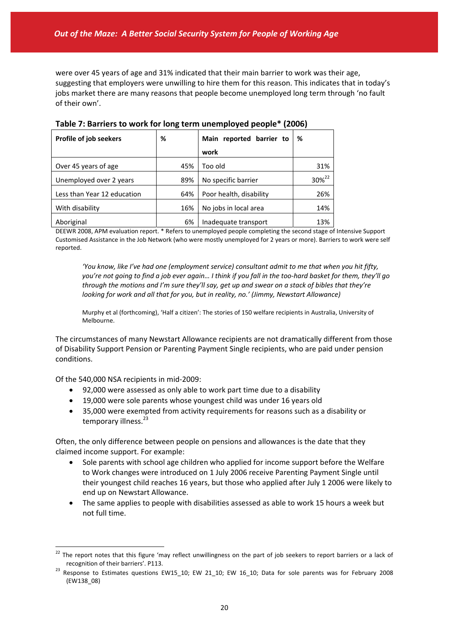were over 45 years of age and 31% indicated that their main barrier to work was their age, suggesting that employers were unwilling to hire them for this reason. This indicates that in today's jobs market there are many reasons that people become unemployed long term through 'no fault of their own'.

| Profile of job seekers      | %   | Main reported barrier to | %                 |
|-----------------------------|-----|--------------------------|-------------------|
|                             |     | work                     |                   |
| Over 45 years of age        | 45% | Too old                  | 31%               |
| Unemployed over 2 years     | 89% | No specific barrier      | 30% <sup>22</sup> |
| Less than Year 12 education | 64% | Poor health, disability  | 26%               |
| With disability             | 16% | No jobs in local area    | 14%               |
| Aboriginal                  | 6%  | Inadequate transport     | 13%               |

**Table 7: Barriers to work for long term unemployed people\* (2006)**

DEEWR 2008, APM evaluation report. \* Refers to unemployed people completing the second stage of Intensive Support Customised Assistance in the Job Network (who were mostly unemployed for 2 years or more). Barriers to work were self reported.

*'You know, like I've had one (employment service) consultant admit to me that when you hit fifty,* you're not going to find a job ever again... I think if you fall in the too-hard basket for them, they'll go through the motions and I'm sure they'll say, get up and swear on a stack of bibles that they're *looking for work and all that for you, but in reality, no.' (Jimmy, Newstart Allowance)*

Murphy et al (forthcoming), 'Half a citizen': The stories of 150 welfare recipients in Australia, University of Melbourne.

The circumstances of many Newstart Allowance recipients are not dramatically different from those of Disability Support Pension or Parenting Payment Single recipients, who are paid under pension conditions.

Of the 540,000 NSA recipients in mid‐2009:

- 92,000 were assessed as only able to work part time due to a disability
- 19,000 were sole parents whose youngest child was under 16 years old
- 35,000 were exempted from activity requirements for reasons such as a disability or temporary illness.<sup>23</sup>

Often, the only difference between people on pensions and allowances is the date that they claimed income support. For example:

- Sole parents with school age children who applied for income support before the Welfare to Work changes were introduced on 1 July 2006 receive Parenting Payment Single until their youngest child reaches 16 years, but those who applied after July 1 2006 were likely to end up on Newstart Allowance.
- The same applies to people with disabilities assessed as able to work 15 hours a week but not full time.

 $\overline{a}$ <sup>22</sup> The report notes that this figure 'may reflect unwillingness on the part of job seekers to report barriers or a lack of recognition of their barriers'. P113.

 $^{23}$  Response to Estimates questions EW15\_10; EW 21\_10; EW 16\_10; Data for sole parents was for February 2008 (EW138\_08)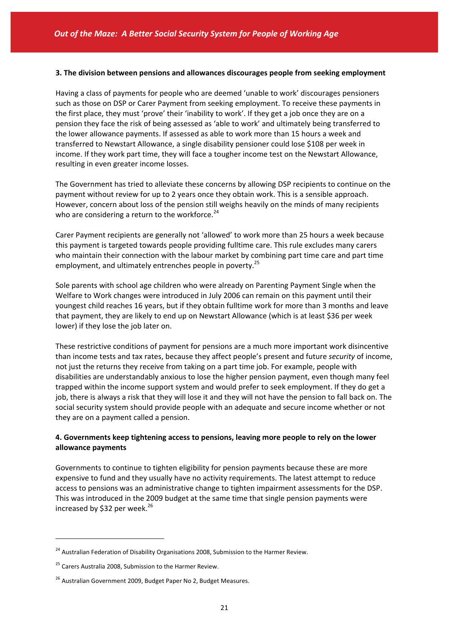#### **3. The division between pensions and allowances discourages people from seeking employment**

Having a class of payments for people who are deemed 'unable to work' discourages pensioners such as those on DSP or Carer Payment from seeking employment. To receive these payments in the first place, they must 'prove' their 'inability to work'. If they get a job once they are on a pension they face the risk of being assessed as 'able to work' and ultimately being transferred to the lower allowance payments. If assessed as able to work more than 15 hours a week and transferred to Newstart Allowance, a single disability pensioner could lose \$108 per week in income. If they work part time, they will face a tougher income test on the Newstart Allowance, resulting in even greater income losses.

The Government has tried to alleviate these concerns by allowing DSP recipients to continue on the payment without review for up to 2 years once they obtain work. This is a sensible approach. However, concern about loss of the pension still weighs heavily on the minds of many recipients who are considering a return to the workforce.<sup>24</sup>

Carer Payment recipients are generally not 'allowed' to work more than 25 hours a week because this payment is targeted towards people providing fulltime care. This rule excludes many carers who maintain their connection with the labour market by combining part time care and part time employment, and ultimately entrenches people in poverty.<sup>25</sup>

Sole parents with school age children who were already on Parenting Payment Single when the Welfare to Work changes were introduced in July 2006 can remain on this payment until their youngest child reaches 16 years, but if they obtain fulltime work for more than 3 months and leave that payment, they are likely to end up on Newstart Allowance (which is at least \$36 per week lower) if they lose the job later on.

These restrictive conditions of payment for pensions are a much more important work disincentive than income tests and tax rates, because they affect people's present and future *security* of income, not just the returns they receive from taking on a part time job. For example, people with disabilities are understandably anxious to lose the higher pension payment, even though many feel trapped within the income support system and would prefer to seek employment. If they do get a job, there is always a risk that they will lose it and they will not have the pension to fall back on. The social security system should provide people with an adequate and secure income whether or not they are on a payment called a pension.

### **4. Governments keep tightening access to pensions, leaving more people to rely on the lower allowance payments**

Governments to continue to tighten eligibility for pension payments because these are more expensive to fund and they usually have no activity requirements. The latest attempt to reduce access to pensions was an administrative change to tighten impairment assessments for the DSP. This was introduced in the 2009 budget at the same time that single pension payments were increased by \$32 per week. $^{26}$ 

<sup>&</sup>lt;sup>24</sup> Australian Federation of Disability Organisations 2008, Submission to the Harmer Review.

<sup>&</sup>lt;sup>25</sup> Carers Australia 2008, Submission to the Harmer Review.

<sup>&</sup>lt;sup>26</sup> Australian Government 2009, Budget Paper No 2, Budget Measures.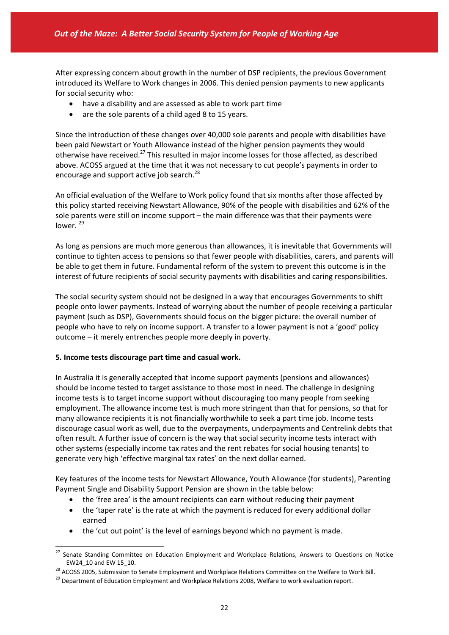After expressing concern about growth in the number of DSP recipients, the previous Government introduced its Welfare to Work changes in 2006. This denied pension payments to new applicants for social security who:

- have a disability and are assessed as able to work part time
- are the sole parents of a child aged 8 to 15 years.

Since the introduction of these changes over 40,000 sole parents and people with disabilities have been paid Newstart or Youth Allowance instead of the higher pension payments they would otherwise have received.<sup>27</sup> This resulted in major income losses for those affected, as described above. ACOSS argued at the time that it was not necessary to cut people's payments in order to encourage and support active job search.<sup>28</sup>

An official evaluation of the Welfare to Work policy found that six months after those affected by this policy started receiving Newstart Allowance, 90% of the people with disabilities and 62% of the sole parents were still on income support – the main difference was that their payments were lower.<sup>29</sup>

As long as pensions are much more generous than allowances, it is inevitable that Governments will continue to tighten access to pensions so that fewer people with disabilities, carers, and parents will be able to get them in future. Fundamental reform of the system to prevent this outcome is in the interest of future recipients of social security payments with disabilities and caring responsibilities.

The social security system should not be designed in a way that encourages Governments to shift people onto lower payments. Instead of worrying about the number of people receiving a particular payment (such as DSP), Governments should focus on the bigger picture: the overall number of people who have to rely on income support. A transfer to a lower payment is not a 'good' policy outcome – it merely entrenches people more deeply in poverty.

#### **5***.* **Income tests discourage part time and casual work.**

 $\overline{a}$ 

In Australia it is generally accepted that income support payments (pensions and allowances) should be income tested to target assistance to those most in need. The challenge in designing income tests is to target income support without discouraging too many people from seeking employment. The allowance income test is much more stringent than that for pensions, so that for many allowance recipients it is not financially worthwhile to seek a part time job. Income tests discourage casual work as well, due to the overpayments, underpayments and Centrelink debts that often result. A further issue of concern is the way that social security income tests interact with other systems (especially income tax rates and the rent rebates for social housing tenants) to generate very high 'effective marginal tax rates' on the next dollar earned.

Key features of the income tests for Newstart Allowance, Youth Allowance (for students), Parenting Payment Single and Disability Support Pension are shown in the table below:

- the 'free area' is the amount recipients can earn without reducing their payment
- the 'taper rate' is the rate at which the payment is reduced for every additional dollar earned
- the 'cut out point' is the level of earnings beyond which no payment is made.

<sup>&</sup>lt;sup>27</sup> Senate Standing Committee on Education Employment and Workplace Relations, Answers to Questions on Notice EW24\_10 and EW 15\_10.

<sup>&</sup>lt;sup>28</sup> ACOSS 2005, Submission to Senate Employment and Workplace Relations Committee on the Welfare to Work Bill.

<sup>&</sup>lt;sup>29</sup> Department of Education Employment and Workplace Relations 2008, Welfare to work evaluation report.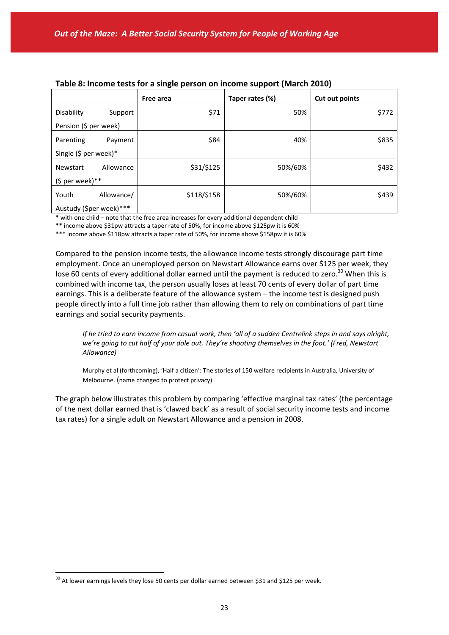|                         |            | Free area   | Taper rates (%) | Cut out points |
|-------------------------|------------|-------------|-----------------|----------------|
| Disability              | Support    | \$71        | 50%             | \$772          |
| Pension (\$ per week)   |            |             |                 |                |
| Parenting               | Payment    | \$84        | 40%             | \$835          |
| Single (\$ per week)*   |            |             |                 |                |
| Newstart                | Allowance  | \$31/\$125  | 50%/60%         | \$432          |
| $(5$ per week)**        |            |             |                 |                |
| Youth                   | Allowance/ | \$118/\$158 | 50%/60%         | \$439          |
| Austudy (\$per week)*** |            |             |                 |                |

## **Table 8: Income tests for a single person on income support (March 2010)**

\* with one child – note that the free area increases for every additional dependent child

\*\* income above \$31pw attracts a taper rate of 50%, for income above \$125pw it is 60%

\*\*\* income above \$118pw attracts a taper rate of 50%, for income above \$158pw it is 60%

Compared to the pension income tests, the allowance income tests strongly discourage part time employment. Once an unemployed person on Newstart Allowance earns over \$125 per week, they lose 60 cents of every additional dollar earned until the payment is reduced to zero.<sup>30</sup> When this is combined with income tax, the person usually loses at least 70 cents of every dollar of part time earnings. This is a deliberate feature of the allowance system – the income test is designed push people directly into a full time job rather than allowing them to rely on combinations of part time earnings and social security payments.

If he tried to earn income from casual work, then 'all of a sudden Centrelink steps in and says alright, *we're going to cut half of your dole out. They're shooting themselves in the foot.' (Fred, Newstart Allowance)* 

Murphy et al (forthcoming), 'Half a citizen': The stories of 150 welfare recipients in Australia, University of Melbourne. (name changed to protect privacy)

The graph below illustrates this problem by comparing 'effective marginal tax rates' (the percentage of the next dollar earned that is 'clawed back' as a result of social security income tests and income tax rates) for a single adult on Newstart Allowance and a pension in 2008.

 $30$  At lower earnings levels they lose 50 cents per dollar earned between \$31 and \$125 per week.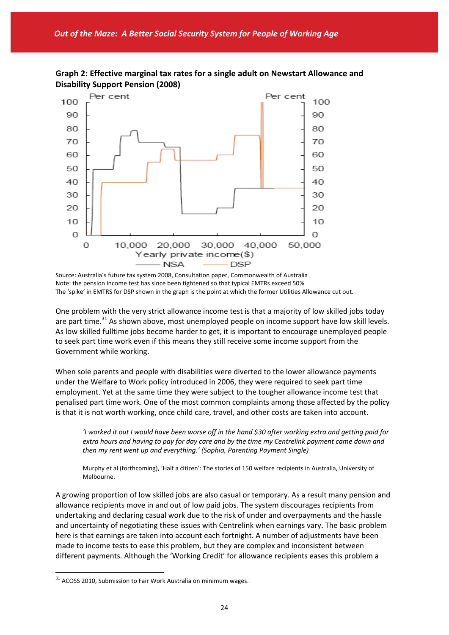



Source: Australia's future tax system 2008, Consultation paper, Commonwealth of Australia Note: the pension income test has since been tightened so that typical EMTRs exceed 50% The 'spike' in EMTRS for DSP shown in the graph is the point at which the former Utilities Allowance cut out.

One problem with the very strict allowance income test is that a majority of low skilled jobs today are part time.<sup>31</sup> As shown above, most unemployed people on income support have low skill levels. As low skilled fulltime jobs become harder to get, it is important to encourage unemployed people to seek part time work even if this means they still receive some income support from the Government while working.

When sole parents and people with disabilities were diverted to the lower allowance payments under the Welfare to Work policy introduced in 2006, they were required to seek part time employment. Yet at the same time they were subject to the tougher allowance income test that penalised part time work. One of the most common complaints among those affected by the policy is that it is not worth working, once child care, travel, and other costs are taken into account.

'I worked it out I would have been worse off in the hand \$30 after working extra and getting paid for extra hours and having to pay for day care and by the time my Centrelink payment came down and *then my rent went up and everything.' (Sophia, Parenting Payment Single)*

Murphy et al (forthcoming), 'Half a citizen': The stories of 150 welfare recipients in Australia, University of Melbourne.

A growing proportion of low skilled jobs are also casual or temporary. As a result many pension and allowance recipients move in and out of low paid jobs. The system discourages recipients from undertaking and declaring casual work due to the risk of under and overpayments and the hassle and uncertainty of negotiating these issues with Centrelink when earnings vary. The basic problem here is that earnings are taken into account each fortnight. A number of adjustments have been made to income tests to ease this problem, but they are complex and inconsistent between different payments. Although the 'Working Credit' for allowance recipients eases this problem a

 $31$  ACOSS 2010, Submission to Fair Work Australia on minimum wages.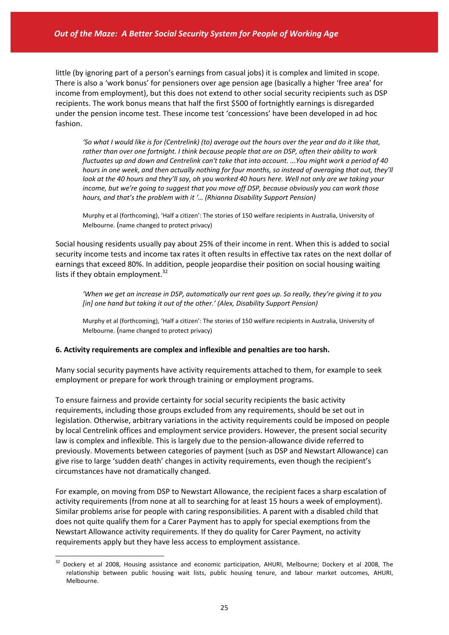little (by ignoring part of a person's earnings from casual jobs) it is complex and limited in scope. There is also a 'work bonus' for pensioners over age pension age (basically a higher 'free area' for income from employment), but this does not extend to other social security recipients such as DSP recipients. The work bonus means that half the first \$500 of fortnightly earnings is disregarded under the pension income test. These income test 'concessions' have been developed in ad hoc fashion.

'So what I would like is for (Centrelink) (to) average out the hours over the year and do it like that, rather than over one fortnight. I think because people that are on DSP, often their ability to work fluctuates up and down and Centrelink can't take that into account. ... You might work a period of 40 hours in one week, and then actually nothing for four months, so instead of averaging that out, they'll look at the 40 hours and they'll say, oh you worked 40 hours here. Well not only are we taking your *income, but we're going to suggest that you move off DSP, because obviously you can work those hours, and that's the problem with it '… (Rhianna Disability Support Pension)*

Murphy et al (forthcoming), 'Half a citizen': The stories of 150 welfare recipients in Australia, University of Melbourne. (name changed to protect privacy)

Social housing residents usually pay about 25% of their income in rent. When this is added to social security income tests and income tax rates it often results in effective tax rates on the next dollar of earnings that exceed 80%. In addition, people jeopardise their position on social housing waiting lists if they obtain employment. $32$ 

'When we aet an increase in DSP, automatically our rent goes up. So really, they're giving it to you *[in] one hand but taking it out of the other.' (Alex, Disability Support Pension)*

Murphy et al (forthcoming), 'Half a citizen': The stories of 150 welfare recipients in Australia, University of Melbourne. (name changed to protect privacy)

#### **6. Activity requirements are complex and inflexible and penalties are too harsh.**

Many social security payments have activity requirements attached to them, for example to seek employment or prepare for work through training or employment programs.

To ensure fairness and provide certainty for social security recipients the basic activity requirements, including those groups excluded from any requirements, should be set out in legislation. Otherwise, arbitrary variations in the activity requirements could be imposed on people by local Centrelink offices and employment service providers. However, the present social security law is complex and inflexible. This is largely due to the pension-allowance divide referred to previously. Movements between categories of payment (such as DSP and Newstart Allowance) can give rise to large 'sudden death' changes in activity requirements, even though the recipient's circumstances have not dramatically changed.

For example, on moving from DSP to Newstart Allowance, the recipient faces a sharp escalation of activity requirements (from none at all to searching for at least 15 hours a week of employment). Similar problems arise for people with caring responsibilities. A parent with a disabled child that does not quite qualify them for a Carer Payment has to apply for special exemptions from the Newstart Allowance activity requirements. If they do quality for Carer Payment, no activity requirements apply but they have less access to employment assistance.

<sup>&</sup>lt;sup>32</sup> Dockery et al 2008, Housing assistance and economic participation, AHURI, Melbourne; Dockery et al 2008, The relationship between public housing wait lists, public housing tenure, and labour market outcomes, AHURI, Melbourne.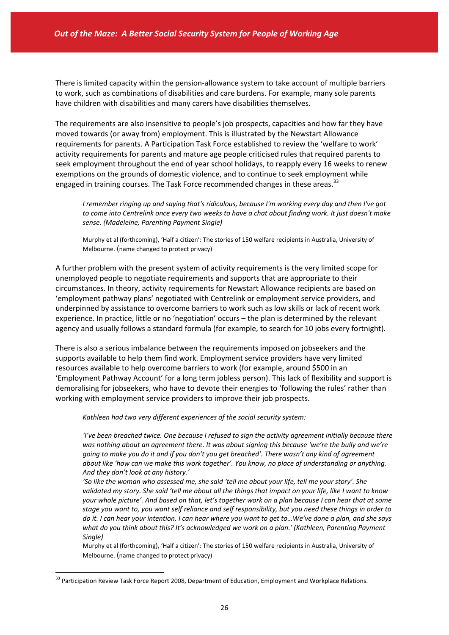There is limited capacity within the pension‐allowance system to take account of multiple barriers to work, such as combinations of disabilities and care burdens. For example, many sole parents have children with disabilities and many carers have disabilities themselves.

The requirements are also insensitive to people's job prospects, capacities and how far they have moved towards (or away from) employment. This is illustrated by the Newstart Allowance requirements for parents. A Participation Task Force established to review the 'welfare to work' activity requirements for parents and mature age people criticised rules that required parents to seek employment throughout the end of year school holidays, to reapply every 16 weeks to renew exemptions on the grounds of domestic violence, and to continue to seek employment while engaged in training courses. The Task Force recommended changes in these areas.<sup>33</sup>

*I remember ringing up and saying that's ridiculous, because I'm working every day and then I've got* to come into Centrelink once every two weeks to have a chat about finding work. It just doesn't make *sense. (Madeleine, Parenting Payment Single)*

Murphy et al (forthcoming), 'Half a citizen': The stories of 150 welfare recipients in Australia, University of Melbourne. (name changed to protect privacy)

A further problem with the present system of activity requirements is the very limited scope for unemployed people to negotiate requirements and supports that are appropriate to their circumstances. In theory, activity requirements for Newstart Allowance recipients are based on 'employment pathway plans' negotiated with Centrelink or employment service providers, and underpinned by assistance to overcome barriers to work such as low skills or lack of recent work experience. In practice, little or no 'negotiation' occurs – the plan is determined by the relevant agency and usually follows a standard formula (for example, to search for 10 jobs every fortnight).

There is also a serious imbalance between the requirements imposed on jobseekers and the supports available to help them find work. Employment service providers have very limited resources available to help overcome barriers to work (for example, around \$500 in an 'Employment Pathway Account' for a long term jobless person). This lack of flexibility and support is demoralising for jobseekers, who have to devote their energies to 'following the rules' rather than working with employment service providers to improve their job prospects.

*Kathleen had two very different experiences of the social security system:*

*'I've been breached twice. One because I refused to sign the activity agreement initially because there was nothing about an agreement there. It was about signing this because 'we're the bully and we're* going to make you do it and if you don't you get breached'. There wasn't any kind of agreement *about like 'how can we make this work together'. You know, no place of understanding or anything. And they don't look at any history.'* 

'So like the woman who assessed me, she said 'tell me about your life, tell me your story'. She validated my story. She said 'tell me about all the things that impact on your life, like I want to know your whole picture'. And based on that, let's together work on a plan because I can hear that at some stage you want to, you want self reliance and self responsibility, but you need these things in order to do it. I can hear your intention. I can hear where you want to get to...We've done a plan, and she says *what do you think about this? It's acknowledged we work on a plan.' (Kathleen, Parenting Payment Single)* 

Murphy et al (forthcoming), 'Half a citizen': The stories of 150 welfare recipients in Australia, University of Melbourne. (name changed to protect privacy)

<sup>&</sup>lt;sup>33</sup> Participation Review Task Force Report 2008, Department of Education, Employment and Workplace Relations.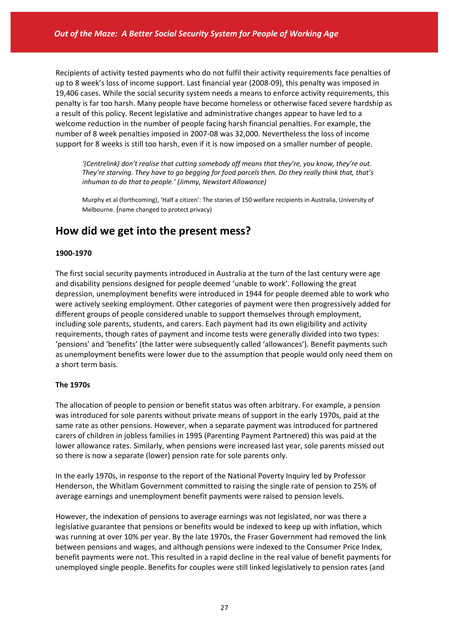Recipients of activity tested payments who do not fulfil their activity requirements face penalties of up to 8 week's loss of income support. Last financial year (2008‐09), this penalty was imposed in 19,406 cases. While the social security system needs a means to enforce activity requirements, this penalty is far too harsh. Many people have become homeless or otherwise faced severe hardship as a result of this policy. Recent legislative and administrative changes appear to have led to a welcome reduction in the number of people facing harsh financial penalties. For example, the number of 8 week penalties imposed in 2007‐08 was 32,000. Nevertheless the loss of income support for 8 weeks is still too harsh, even if it is now imposed on a smaller number of people.

*'(Centrelink) don't realise that cutting somebody off means that they're, you know, they're out. They're starving. They have to go begging for food parcels then. Do they really think that, that's inhuman to do that to people.' (Jimmy, Newstart Allowance)*

Murphy et al (forthcoming), 'Half a citizen': The stories of 150 welfare recipients in Australia, University of Melbourne. (name changed to protect privacy)

# **How did we get into the present mess?**

#### **1900‐1970**

The first social security payments introduced in Australia at the turn of the last century were age and disability pensions designed for people deemed 'unable to work'. Following the great depression, unemployment benefits were introduced in 1944 for people deemed able to work who were actively seeking employment. Other categories of payment were then progressively added for different groups of people considered unable to support themselves through employment, including sole parents, students, and carers. Each payment had its own eligibility and activity requirements, though rates of payment and income tests were generally divided into two types: 'pensions' and 'benefits' (the latter were subsequently called 'allowances'). Benefit payments such as unemployment benefits were lower due to the assumption that people would only need them on a short term basis.

#### **The 1970s**

The allocation of people to pension or benefit status was often arbitrary. For example, a pension was introduced for sole parents without private means of support in the early 1970s, paid at the same rate as other pensions. However, when a separate payment was introduced for partnered carers of children in jobless families in 1995 (Parenting Payment Partnered) this was paid at the lower allowance rates. Similarly, when pensions were increased last year, sole parents missed out so there is now a separate (lower) pension rate for sole parents only.

In the early 1970s, in response to the report of the National Poverty Inquiry led by Professor Henderson, the Whitlam Government committed to raising the single rate of pension to 25% of average earnings and unemployment benefit payments were raised to pension levels.

However, the indexation of pensions to average earnings was not legislated, nor was there a legislative guarantee that pensions or benefits would be indexed to keep up with inflation, which was running at over 10% per year. By the late 1970s, the Fraser Government had removed the link between pensions and wages, and although pensions were indexed to the Consumer Price Index, benefit payments were not. This resulted in a rapid decline in the real value of benefit payments for unemployed single people. Benefits for couples were still linked legislatively to pension rates (and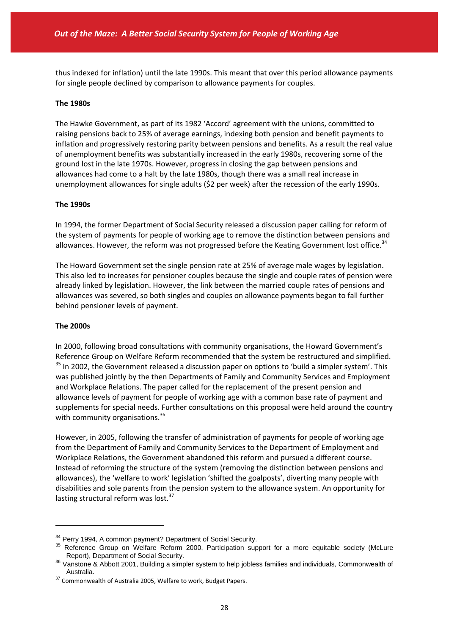thus indexed for inflation) until the late 1990s. This meant that over this period allowance payments for single people declined by comparison to allowance payments for couples.

#### **The 1980s**

The Hawke Government, as part of its 1982 'Accord' agreement with the unions, committed to raising pensions back to 25% of average earnings, indexing both pension and benefit payments to inflation and progressively restoring parity between pensions and benefits. As a result the real value of unemployment benefits was substantially increased in the early 1980s, recovering some of the ground lost in the late 1970s. However, progress in closing the gap between pensions and allowances had come to a halt by the late 1980s, though there was a small real increase in unemployment allowances for single adults (\$2 per week) after the recession of the early 1990s.

#### **The 1990s**

In 1994, the former Department of Social Security released a discussion paper calling for reform of the system of payments for people of working age to remove the distinction between pensions and allowances. However, the reform was not progressed before the Keating Government lost office.<sup>34</sup>

The Howard Government set the single pension rate at 25% of average male wages by legislation. This also led to increases for pensioner couples because the single and couple rates of pension were already linked by legislation. However, the link between the married couple rates of pensions and allowances was severed, so both singles and couples on allowance payments began to fall further behind pensioner levels of payment.

#### **The 2000s**

 $\overline{a}$ 

In 2000, following broad consultations with community organisations, the Howard Government's Reference Group on Welfare Reform recommended that the system be restructured and simplified. <sup>35</sup> In 2002, the Government released a discussion paper on options to 'build a simpler system'. This was published jointly by the then Departments of Family and Community Services and Employment and Workplace Relations. The paper called for the replacement of the present pension and allowance levels of payment for people of working age with a common base rate of payment and supplements for special needs. Further consultations on this proposal were held around the country with community organisations.<sup>36</sup>

However, in 2005, following the transfer of administration of payments for people of working age from the Department of Family and Community Services to the Department of Employment and Workplace Relations, the Government abandoned this reform and pursued a different course. Instead of reforming the structure of the system (removing the distinction between pensions and allowances), the 'welfare to work' legislation 'shifted the goalposts', diverting many people with disabilities and sole parents from the pension system to the allowance system. An opportunity for lasting structural reform was lost.<sup>37</sup>

<sup>&</sup>lt;sup>34</sup> Perry 1994, A common payment? Department of Social Security.

<sup>&</sup>lt;sup>35</sup> Reference Group on Welfare Reform 2000, Participation support for a more equitable society (McLure Report), Department of Social Security.

 $36$  Vanstone & Abbott 2001, Building a simpler system to help jobless families and individuals, Commonwealth of Australia.

<sup>&</sup>lt;sup>37</sup> Commonwealth of Australia 2005, Welfare to work, Budget Papers.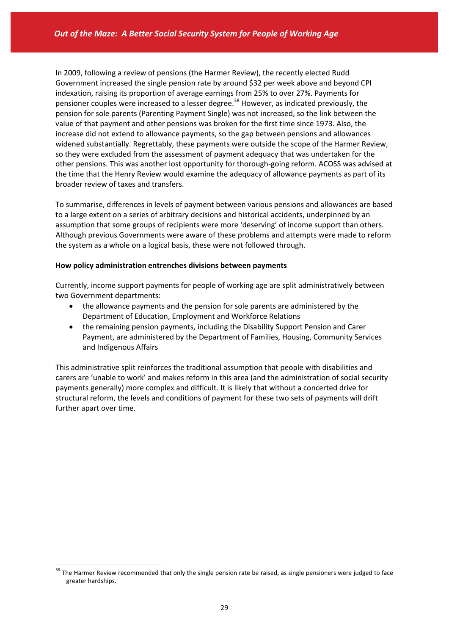In 2009, following a review of pensions (the Harmer Review), the recently elected Rudd Government increased the single pension rate by around \$32 per week above and beyond CPI indexation, raising its proportion of average earnings from 25% to over 27%. Payments for pensioner couples were increased to a lesser degree.<sup>38</sup> However, as indicated previously, the pension for sole parents (Parenting Payment Single) was not increased, so the link between the value of that payment and other pensions was broken for the first time since 1973. Also, the increase did not extend to allowance payments, so the gap between pensions and allowances widened substantially. Regrettably, these payments were outside the scope of the Harmer Review, so they were excluded from the assessment of payment adequacy that was undertaken for the other pensions. This was another lost opportunity for thorough‐going reform. ACOSS was advised at the time that the Henry Review would examine the adequacy of allowance payments as part of its broader review of taxes and transfers.

To summarise, differences in levels of payment between various pensions and allowances are based to a large extent on a series of arbitrary decisions and historical accidents, underpinned by an assumption that some groups of recipients were more 'deserving' of income support than others. Although previous Governments were aware of these problems and attempts were made to reform the system as a whole on a logical basis, these were not followed through.

#### **How policy administration entrenches divisions between payments**

Currently, income support payments for people of working age are split administratively between two Government departments:

- the allowance payments and the pension for sole parents are administered by the Department of Education, Employment and Workforce Relations
- the remaining pension payments, including the Disability Support Pension and Carer Payment, are administered by the Department of Families, Housing, Community Services and Indigenous Affairs

This administrative split reinforces the traditional assumption that people with disabilities and carers are 'unable to work' and makes reform in this area (and the administration of social security payments generally) more complex and difficult. It is likely that without a concerted drive for structural reform, the levels and conditions of payment for these two sets of payments will drift further apart over time.

<sup>&</sup>lt;sup>38</sup> The Harmer Review recommended that only the single pension rate be raised, as single pensioners were judged to face greater hardships.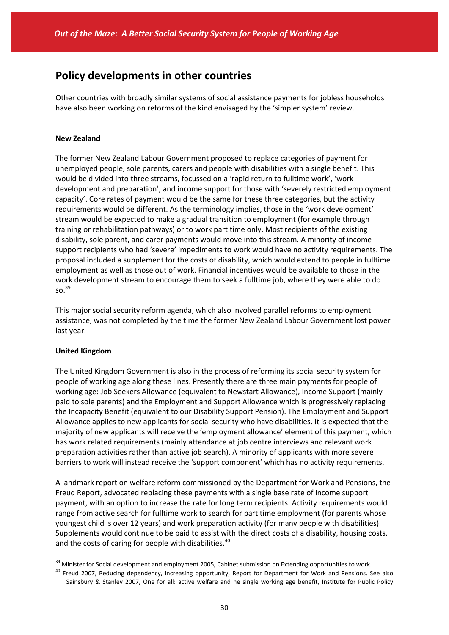## **Policy developments in other countries**

Other countries with broadly similar systems of social assistance payments for jobless households have also been working on reforms of the kind envisaged by the 'simpler system' review.

#### **New Zealand**

The former New Zealand Labour Government proposed to replace categories of payment for unemployed people, sole parents, carers and people with disabilities with a single benefit. This would be divided into three streams, focussed on a 'rapid return to fulltime work', 'work development and preparation', and income support for those with 'severely restricted employment capacity'. Core rates of payment would be the same for these three categories, but the activity requirements would be different. As the terminology implies, those in the 'work development' stream would be expected to make a gradual transition to employment (for example through training or rehabilitation pathways) or to work part time only. Most recipients of the existing disability, sole parent, and carer payments would move into this stream. A minority of income support recipients who had 'severe' impediments to work would have no activity requirements. The proposal included a supplement for the costs of disability, which would extend to people in fulltime employment as well as those out of work. Financial incentives would be available to those in the work development stream to encourage them to seek a fulltime job, where they were able to do so.<sup>39</sup>

This major social security reform agenda, which also involved parallel reforms to employment assistance, was not completed by the time the former New Zealand Labour Government lost power last year.

#### **United Kingdom**

 $\overline{a}$ 

The United Kingdom Government is also in the process of reforming its social security system for people of working age along these lines. Presently there are three main payments for people of working age: Job Seekers Allowance (equivalent to Newstart Allowance), Income Support (mainly paid to sole parents) and the Employment and Support Allowance which is progressively replacing the Incapacity Benefit (equivalent to our Disability Support Pension). The Employment and Support Allowance applies to new applicants for social security who have disabilities. It is expected that the majority of new applicants will receive the 'employment allowance' element of this payment, which has work related requirements (mainly attendance at job centre interviews and relevant work preparation activities rather than active job search). A minority of applicants with more severe barriers to work will instead receive the 'support component' which has no activity requirements.

A landmark report on welfare reform commissioned by the Department for Work and Pensions, the Freud Report, advocated replacing these payments with a single base rate of income support payment, with an option to increase the rate for long term recipients. Activity requirements would range from active search for fulltime work to search for part time employment (for parents whose youngest child is over 12 years) and work preparation activity (for many people with disabilities). Supplements would continue to be paid to assist with the direct costs of a disability, housing costs, and the costs of caring for people with disabilities.<sup>40</sup>

<sup>&</sup>lt;sup>39</sup> Minister for Social development and employment 2005, Cabinet submission on Extending opportunities to work.

<sup>&</sup>lt;sup>40</sup> Freud 2007, Reducing dependency, increasing opportunity, Report for Department for Work and Pensions. See also Sainsbury & Stanley 2007, One for all: active welfare and he single working age benefit, Institute for Public Policy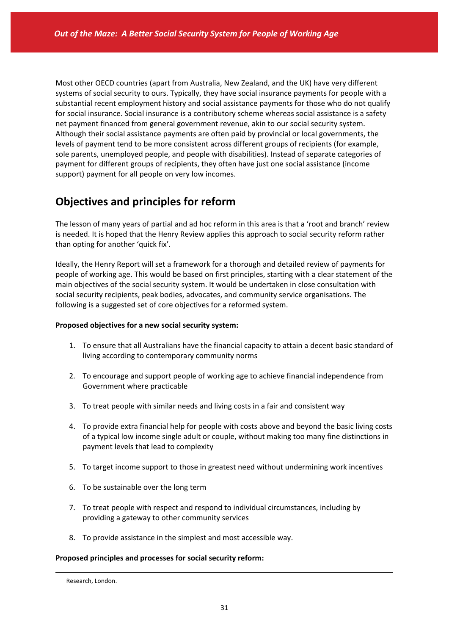Most other OECD countries (apart from Australia, New Zealand, and the UK) have very different systems of social security to ours. Typically, they have social insurance payments for people with a substantial recent employment history and social assistance payments for those who do not qualify for social insurance. Social insurance is a contributory scheme whereas social assistance is a safety net payment financed from general government revenue, akin to our social security system. Although their social assistance payments are often paid by provincial or local governments, the levels of payment tend to be more consistent across different groups of recipients (for example, sole parents, unemployed people, and people with disabilities). Instead of separate categories of payment for different groups of recipients, they often have just one social assistance (income support) payment for all people on very low incomes.

# **Objectives and principles for reform**

The lesson of many years of partial and ad hoc reform in this area is that a 'root and branch' review is needed. It is hoped that the Henry Review applies this approach to social security reform rather than opting for another 'quick fix'.

Ideally, the Henry Report will set a framework for a thorough and detailed review of payments for people of working age. This would be based on first principles, starting with a clear statement of the main objectives of the social security system. It would be undertaken in close consultation with social security recipients, peak bodies, advocates, and community service organisations. The following is a suggested set of core objectives for a reformed system.

#### **Proposed objectives for a new social security system:**

- 1. To ensure that all Australians have the financial capacity to attain a decent basic standard of living according to contemporary community norms
- 2. To encourage and support people of working age to achieve financial independence from Government where practicable
- 3. To treat people with similar needs and living costs in a fair and consistent way
- 4. To provide extra financial help for people with costs above and beyond the basic living costs of a typical low income single adult or couple, without making too many fine distinctions in payment levels that lead to complexity
- 5. To target income support to those in greatest need without undermining work incentives
- 6. To be sustainable over the long term
- 7. To treat people with respect and respond to individual circumstances, including by providing a gateway to other community services
- 8. To provide assistance in the simplest and most accessible way.

#### **Proposed principles and processes for social security reform:**

1

Research, London.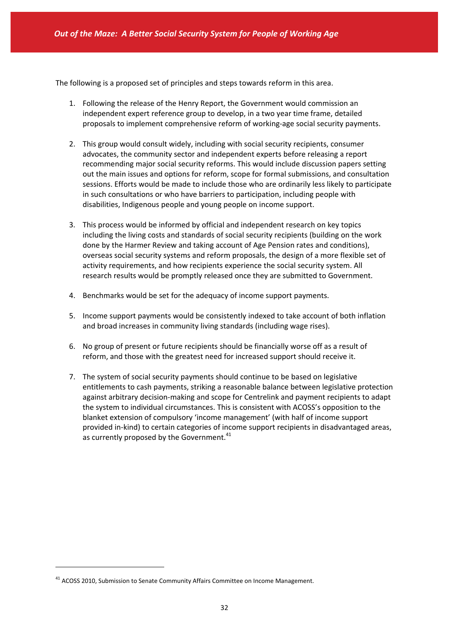The following is a proposed set of principles and steps towards reform in this area.

- 1. Following the release of the Henry Report, the Government would commission an independent expert reference group to develop, in a two year time frame, detailed proposals to implement comprehensive reform of working‐age social security payments.
- 2. This group would consult widely, including with social security recipients, consumer advocates, the community sector and independent experts before releasing a report recommending major social security reforms. This would include discussion papers setting out the main issues and options for reform, scope for formal submissions, and consultation sessions. Efforts would be made to include those who are ordinarily less likely to participate in such consultations or who have barriers to participation, including people with disabilities, Indigenous people and young people on income support.
- 3. This process would be informed by official and independent research on key topics including the living costs and standards of social security recipients (building on the work done by the Harmer Review and taking account of Age Pension rates and conditions), overseas social security systems and reform proposals, the design of a more flexible set of activity requirements, and how recipients experience the social security system. All research results would be promptly released once they are submitted to Government.
- 4. Benchmarks would be set for the adequacy of income support payments.
- 5. Income support payments would be consistently indexed to take account of both inflation and broad increases in community living standards (including wage rises).
- 6. No group of present or future recipients should be financially worse off as a result of reform, and those with the greatest need for increased support should receive it.
- 7. The system of social security payments should continue to be based on legislative entitlements to cash payments, striking a reasonable balance between legislative protection against arbitrary decision‐making and scope for Centrelink and payment recipients to adapt the system to individual circumstances. This is consistent with ACOSS's opposition to the blanket extension of compulsory 'income management' (with half of income support provided in‐kind) to certain categories of income support recipients in disadvantaged areas, as currently proposed by the Government.<sup>41</sup>

<sup>&</sup>lt;sup>41</sup> ACOSS 2010, Submission to Senate Community Affairs Committee on Income Management.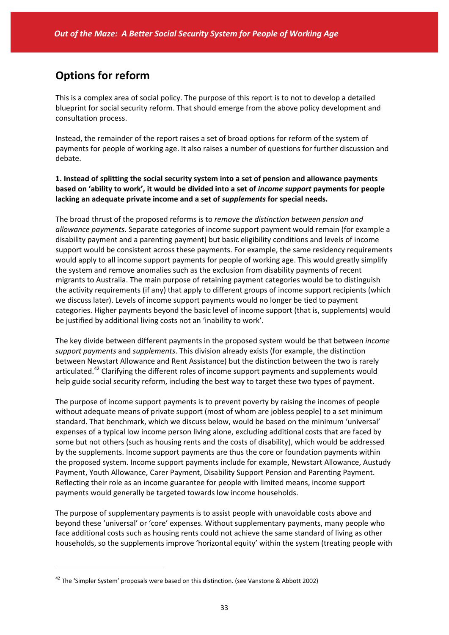# **Options for reform**

This is a complex area of social policy. The purpose of this report is to not to develop a detailed blueprint for social security reform. That should emerge from the above policy development and consultation process.

Instead, the remainder of the report raises a set of broad options for reform of the system of payments for people of working age. It also raises a number of questions for further discussion and debate.

**1. Instead of splitting the social security system into a set of pension and allowance payments based on 'ability to work', it would be divided into a set of** *income support* **payments for people lacking an adequate private income and a set of** *supplements* **for special needs.**

The broad thrust of the proposed reforms is to *remove the distinction between pension and allowance payments*. Separate categories of income support payment would remain (for example a disability payment and a parenting payment) but basic eligibility conditions and levels of income support would be consistent across these payments. For example, the same residency requirements would apply to all income support payments for people of working age. This would greatly simplify the system and remove anomalies such as the exclusion from disability payments of recent migrants to Australia. The main purpose of retaining payment categories would be to distinguish the activity requirements (if any) that apply to different groups of income support recipients (which we discuss later). Levels of income support payments would no longer be tied to payment categories. Higher payments beyond the basic level of income support (that is, supplements) would be justified by additional living costs not an 'inability to work'.

The key divide between different payments in the proposed system would be that between *income support payments* and *supplements*. This division already exists (for example, the distinction between Newstart Allowance and Rent Assistance) but the distinction between the two is rarely articulated.<sup>42</sup> Clarifying the different roles of income support payments and supplements would help guide social security reform, including the best way to target these two types of payment.

The purpose of income support payments is to prevent poverty by raising the incomes of people without adequate means of private support (most of whom are jobless people) to a set minimum standard. That benchmark, which we discuss below, would be based on the minimum 'universal' expenses of a typical low income person living alone, excluding additional costs that are faced by some but not others (such as housing rents and the costs of disability), which would be addressed by the supplements. Income support payments are thus the core or foundation payments within the proposed system. Income support payments include for example, Newstart Allowance, Austudy Payment, Youth Allowance, Carer Payment, Disability Support Pension and Parenting Payment. Reflecting their role as an income guarantee for people with limited means, income support payments would generally be targeted towards low income households.

The purpose of supplementary payments is to assist people with unavoidable costs above and beyond these 'universal' or 'core' expenses. Without supplementary payments, many people who face additional costs such as housing rents could not achieve the same standard of living as other households, so the supplements improve 'horizontal equity' within the system (treating people with

 $42$  The 'Simpler System' proposals were based on this distinction. (see Vanstone & Abbott 2002)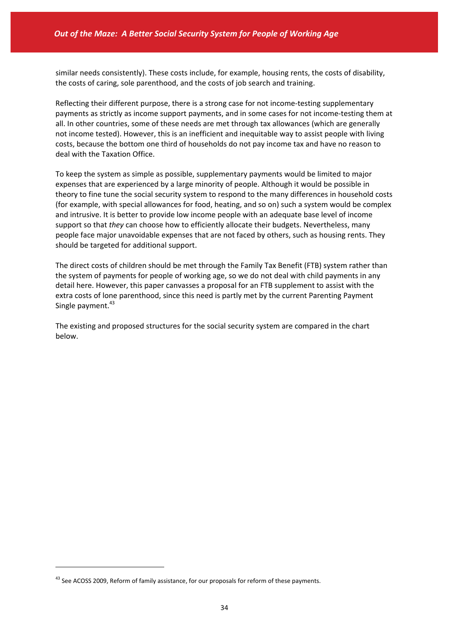similar needs consistently). These costs include, for example, housing rents, the costs of disability, the costs of caring, sole parenthood, and the costs of job search and training.

Reflecting their different purpose, there is a strong case for not income-testing supplementary payments as strictly as income support payments, and in some cases for not income‐testing them at all. In other countries, some of these needs are met through tax allowances (which are generally not income tested). However, this is an inefficient and inequitable way to assist people with living costs, because the bottom one third of households do not pay income tax and have no reason to deal with the Taxation Office.

To keep the system as simple as possible, supplementary payments would be limited to major expenses that are experienced by a large minority of people. Although it would be possible in theory to fine tune the social security system to respond to the many differences in household costs (for example, with special allowances for food, heating, and so on) such a system would be complex and intrusive. It is better to provide low income people with an adequate base level of income support so that *they* can choose how to efficiently allocate their budgets. Nevertheless, many people face major unavoidable expenses that are not faced by others, such as housing rents. They should be targeted for additional support.

The direct costs of children should be met through the Family Tax Benefit (FTB) system rather than the system of payments for people of working age, so we do not deal with child payments in any detail here. However, this paper canvasses a proposal for an FTB supplement to assist with the extra costs of lone parenthood, since this need is partly met by the current Parenting Payment Single payment.<sup>43</sup>

The existing and proposed structures for the social security system are compared in the chart below.

<sup>&</sup>lt;sup>43</sup> See ACOSS 2009, Reform of family assistance, for our proposals for reform of these payments.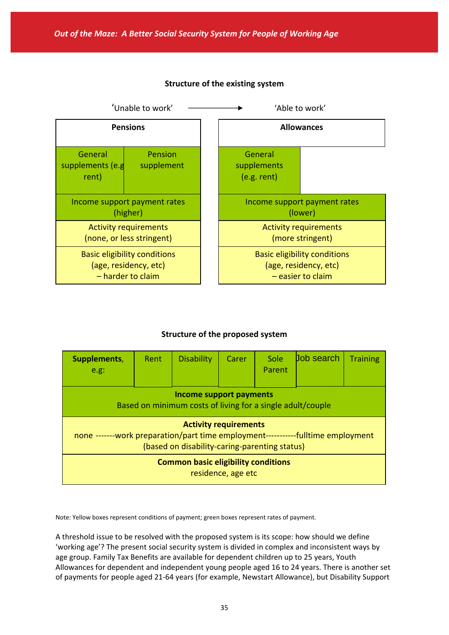

### **Structure of the existing system**

### **Structure of the proposed system**

| Supplements,<br>e.g.                                                                                                                                              | Rent | <b>Disability</b> | Carer | Sole<br>Parent | <b>Job search</b> | <b>Training</b> |  |  |  |
|-------------------------------------------------------------------------------------------------------------------------------------------------------------------|------|-------------------|-------|----------------|-------------------|-----------------|--|--|--|
| Income support payments<br>Based on minimum costs of living for a single adult/couple                                                                             |      |                   |       |                |                   |                 |  |  |  |
| <b>Activity requirements</b><br>none -------work preparation/part time employment------------fulltime employment<br>(based on disability-caring-parenting status) |      |                   |       |                |                   |                 |  |  |  |
| <b>Common basic eligibility conditions</b><br>residence, age etc                                                                                                  |      |                   |       |                |                   |                 |  |  |  |

Note: Yellow boxes represent conditions of payment; green boxes represent rates of payment.

A threshold issue to be resolved with the proposed system is its scope: how should we define 'working age'? The present social security system is divided in complex and inconsistent ways by age group. Family Tax Benefits are available for dependent children up to 25 years, Youth Allowances for dependent and independent young people aged 16 to 24 years. There is another set of payments for people aged 21‐64 years (for example, Newstart Allowance), but Disability Support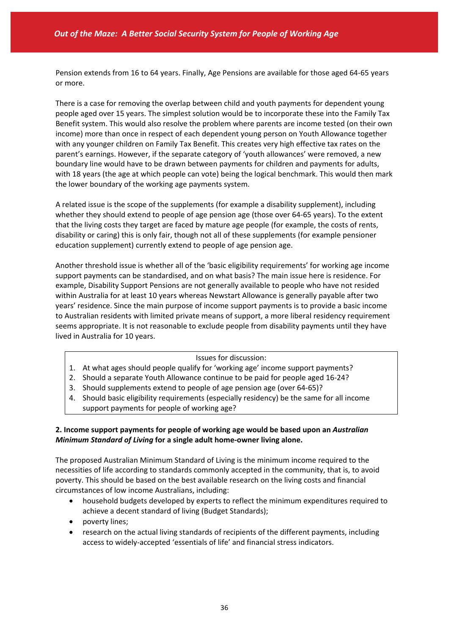Pension extends from 16 to 64 years. Finally, Age Pensions are available for those aged 64‐65 years or more.

There is a case for removing the overlap between child and youth payments for dependent young people aged over 15 years. The simplest solution would be to incorporate these into the Family Tax Benefit system. This would also resolve the problem where parents are income tested (on their own income) more than once in respect of each dependent young person on Youth Allowance together with any younger children on Family Tax Benefit. This creates very high effective tax rates on the parent's earnings. However, if the separate category of 'youth allowances' were removed, a new boundary line would have to be drawn between payments for children and payments for adults, with 18 years (the age at which people can vote) being the logical benchmark. This would then mark the lower boundary of the working age payments system.

A related issue is the scope of the supplements (for example a disability supplement), including whether they should extend to people of age pension age (those over 64‐65 years). To the extent that the living costs they target are faced by mature age people (for example, the costs of rents, disability or caring) this is only fair, though not all of these supplements (for example pensioner education supplement) currently extend to people of age pension age.

Another threshold issue is whether all of the 'basic eligibility requirements' for working age income support payments can be standardised, and on what basis? The main issue here is residence. For example, Disability Support Pensions are not generally available to people who have not resided within Australia for at least 10 years whereas Newstart Allowance is generally payable after two years' residence. Since the main purpose of income support payments is to provide a basic income to Australian residents with limited private means of support, a more liberal residency requirement seems appropriate. It is not reasonable to exclude people from disability payments until they have lived in Australia for 10 years.

#### Issues for discussion:

- 1. At what ages should people qualify for 'working age' income support payments?
- 2. Should a separate Youth Allowance continue to be paid for people aged 16‐24?
- 3. Should supplements extend to people of age pension age (over 64‐65)?
- 4. Should basic eligibility requirements (especially residency) be the same for all income support payments for people of working age?

### **2. Income support payments for people of working age would be based upon an** *Australian Minimum Standard of Living* **for a single adult home‐owner living alone.**

The proposed Australian Minimum Standard of Living is the minimum income required to the necessities of life according to standards commonly accepted in the community, that is, to avoid poverty. This should be based on the best available research on the living costs and financial circumstances of low income Australians, including:

- household budgets developed by experts to reflect the minimum expenditures required to achieve a decent standard of living (Budget Standards);
- poverty lines;
- research on the actual living standards of recipients of the different payments, including access to widely‐accepted 'essentials of life' and financial stress indicators.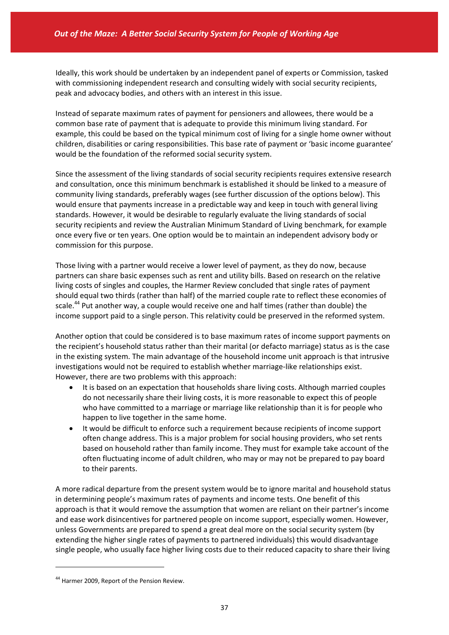Ideally, this work should be undertaken by an independent panel of experts or Commission, tasked with commissioning independent research and consulting widely with social security recipients, peak and advocacy bodies, and others with an interest in this issue.

Instead of separate maximum rates of payment for pensioners and allowees, there would be a common base rate of payment that is adequate to provide this minimum living standard. For example, this could be based on the typical minimum cost of living for a single home owner without children, disabilities or caring responsibilities. This base rate of payment or 'basic income guarantee' would be the foundation of the reformed social security system.

Since the assessment of the living standards of social security recipients requires extensive research and consultation, once this minimum benchmark is established it should be linked to a measure of community living standards, preferably wages (see further discussion of the options below). This would ensure that payments increase in a predictable way and keep in touch with general living standards. However, it would be desirable to regularly evaluate the living standards of social security recipients and review the Australian Minimum Standard of Living benchmark, for example once every five or ten years. One option would be to maintain an independent advisory body or commission for this purpose.

Those living with a partner would receive a lower level of payment, as they do now, because partners can share basic expenses such as rent and utility bills. Based on research on the relative living costs of singles and couples, the Harmer Review concluded that single rates of payment should equal two thirds (rather than half) of the married couple rate to reflect these economies of scale.<sup>44</sup> Put another way, a couple would receive one and half times (rather than double) the income support paid to a single person. This relativity could be preserved in the reformed system.

Another option that could be considered is to base maximum rates of income support payments on the recipient's household status rather than their marital (or defacto marriage) status as is the case in the existing system. The main advantage of the household income unit approach is that intrusive investigations would not be required to establish whether marriage‐like relationships exist. However, there are two problems with this approach:

- It is based on an expectation that households share living costs. Although married couples do not necessarily share their living costs, it is more reasonable to expect this of people who have committed to a marriage or marriage like relationship than it is for people who happen to live together in the same home.
- It would be difficult to enforce such a requirement because recipients of income support often change address. This is a major problem for social housing providers, who set rents based on household rather than family income. They must for example take account of the often fluctuating income of adult children, who may or may not be prepared to pay board to their parents.

A more radical departure from the present system would be to ignore marital and household status in determining people's maximum rates of payments and income tests. One benefit of this approach is that it would remove the assumption that women are reliant on their partner's income and ease work disincentives for partnered people on income support, especially women. However, unless Governments are prepared to spend a great deal more on the social security system (by extending the higher single rates of payments to partnered individuals) this would disadvantage single people, who usually face higher living costs due to their reduced capacity to share their living

<sup>&</sup>lt;sup>44</sup> Harmer 2009, Report of the Pension Review.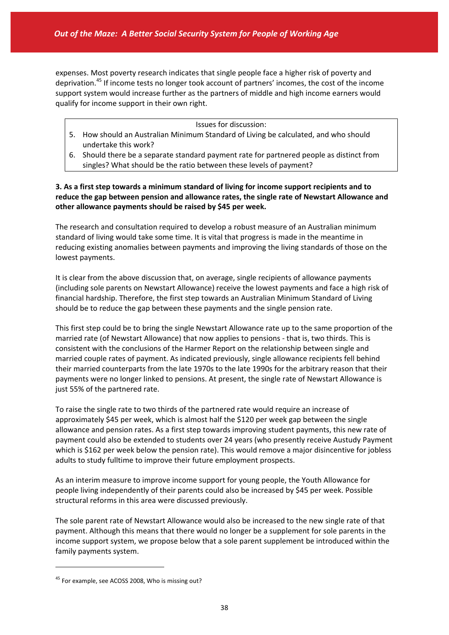expenses. Most poverty research indicates that single people face a higher risk of poverty and deprivation.<sup>45</sup> If income tests no longer took account of partners' incomes, the cost of the income support system would increase further as the partners of middle and high income earners would qualify for income support in their own right.

#### Issues for discussion:

- 5. How should an Australian Minimum Standard of Living be calculated, and who should undertake this work?
- 6. Should there be a separate standard payment rate for partnered people as distinct from singles? What should be the ratio between these levels of payment?

**3. As a first step towards a minimum standard of living for income support recipients and to reduce the gap between pension and allowance rates, the single rate of Newstart Allowance and other allowance payments should be raised by \$45 per week.** 

The research and consultation required to develop a robust measure of an Australian minimum standard of living would take some time. It is vital that progress is made in the meantime in reducing existing anomalies between payments and improving the living standards of those on the lowest payments.

It is clear from the above discussion that, on average, single recipients of allowance payments (including sole parents on Newstart Allowance) receive the lowest payments and face a high risk of financial hardship. Therefore, the first step towards an Australian Minimum Standard of Living should be to reduce the gap between these payments and the single pension rate.

This first step could be to bring the single Newstart Allowance rate up to the same proportion of the married rate (of Newstart Allowance) that now applies to pensions ‐ that is, two thirds. This is consistent with the conclusions of the Harmer Report on the relationship between single and married couple rates of payment. As indicated previously, single allowance recipients fell behind their married counterparts from the late 1970s to the late 1990s for the arbitrary reason that their payments were no longer linked to pensions. At present, the single rate of Newstart Allowance is just 55% of the partnered rate.

To raise the single rate to two thirds of the partnered rate would require an increase of approximately \$45 per week, which is almost half the \$120 per week gap between the single allowance and pension rates. As a first step towards improving student payments, this new rate of payment could also be extended to students over 24 years (who presently receive Austudy Payment which is \$162 per week below the pension rate). This would remove a major disincentive for jobless adults to study fulltime to improve their future employment prospects.

As an interim measure to improve income support for young people, the Youth Allowance for people living independently of their parents could also be increased by \$45 per week. Possible structural reforms in this area were discussed previously.

The sole parent rate of Newstart Allowance would also be increased to the new single rate of that payment. Although this means that there would no longer be a supplement for sole parents in the income support system, we propose below that a sole parent supplement be introduced within the family payments system.

<sup>&</sup>lt;sup>45</sup> For example, see ACOSS 2008, Who is missing out?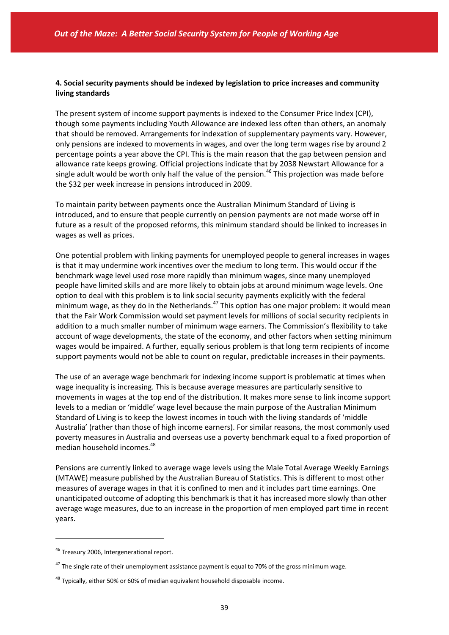### **4. Social security payments should be indexed by legislation to price increases and community living standards**

The present system of income support payments is indexed to the Consumer Price Index (CPI), though some payments including Youth Allowance are indexed less often than others, an anomaly that should be removed. Arrangements for indexation of supplementary payments vary. However, only pensions are indexed to movements in wages, and over the long term wages rise by around 2 percentage points a year above the CPI. This is the main reason that the gap between pension and allowance rate keeps growing. Official projections indicate that by 2038 Newstart Allowance for a single adult would be worth only half the value of the pension.<sup>46</sup> This projection was made before the \$32 per week increase in pensions introduced in 2009.

To maintain parity between payments once the Australian Minimum Standard of Living is introduced, and to ensure that people currently on pension payments are not made worse off in future as a result of the proposed reforms, this minimum standard should be linked to increases in wages as well as prices.

One potential problem with linking payments for unemployed people to general increases in wages is that it may undermine work incentives over the medium to long term. This would occur if the benchmark wage level used rose more rapidly than minimum wages, since many unemployed people have limited skills and are more likely to obtain jobs at around minimum wage levels. One option to deal with this problem is to link social security payments explicitly with the federal minimum wage, as they do in the Netherlands. $47$  This option has one major problem: it would mean that the Fair Work Commission would set payment levels for millions of social security recipients in addition to a much smaller number of minimum wage earners. The Commission's flexibility to take account of wage developments, the state of the economy, and other factors when setting minimum wages would be impaired. A further, equally serious problem is that long term recipients of income support payments would not be able to count on regular, predictable increases in their payments.

The use of an average wage benchmark for indexing income support is problematic at times when wage inequality is increasing. This is because average measures are particularly sensitive to movements in wages at the top end of the distribution. It makes more sense to link income support levels to a median or 'middle' wage level because the main purpose of the Australian Minimum Standard of Living is to keep the lowest incomes in touch with the living standards of 'middle Australia' (rather than those of high income earners). For similar reasons, the most commonly used poverty measures in Australia and overseas use a poverty benchmark equal to a fixed proportion of median household incomes.<sup>48</sup>

Pensions are currently linked to average wage levels using the Male Total Average Weekly Earnings (MTAWE) measure published by the Australian Bureau of Statistics. This is different to most other measures of average wages in that it is confined to men and it includes part time earnings. One unanticipated outcome of adopting this benchmark is that it has increased more slowly than other average wage measures, due to an increase in the proportion of men employed part time in recent years.

<sup>&</sup>lt;sup>46</sup> Treasury 2006, Intergenerational report.

 $47$  The single rate of their unemployment assistance payment is equal to 70% of the gross minimum wage.

 $48$  Typically, either 50% or 60% of median equivalent household disposable income.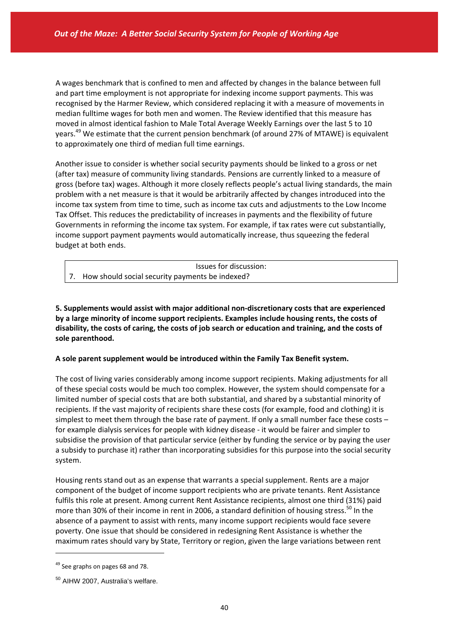A wages benchmark that is confined to men and affected by changes in the balance between full and part time employment is not appropriate for indexing income support payments. This was recognised by the Harmer Review, which considered replacing it with a measure of movements in median fulltime wages for both men and women. The Review identified that this measure has moved in almost identical fashion to Male Total Average Weekly Earnings over the last 5 to 10 years.<sup>49</sup> We estimate that the current pension benchmark (of around 27% of MTAWE) is equivalent to approximately one third of median full time earnings.

Another issue to consider is whether social security payments should be linked to a gross or net (after tax) measure of community living standards. Pensions are currently linked to a measure of gross (before tax) wages. Although it more closely reflects people's actual living standards, the main problem with a net measure is that it would be arbitrarily affected by changes introduced into the income tax system from time to time, such as income tax cuts and adjustments to the Low Income Tax Offset. This reduces the predictability of increases in payments and the flexibility of future Governments in reforming the income tax system. For example, if tax rates were cut substantially, income support payment payments would automatically increase, thus squeezing the federal budget at both ends.

| Issues for discussion:                             |
|----------------------------------------------------|
| 7. How should social security payments be indexed? |

**5. Supplements would assist with major additional non‐discretionary costs that are experienced by a large minority of income support recipients. Examples include housing rents, the costs of** disability, the costs of caring, the costs of job search or education and training, and the costs of **sole parenthood.** 

#### **A sole parent supplement would be introduced within the Family Tax Benefit system.**

The cost of living varies considerably among income support recipients. Making adjustments for all of these special costs would be much too complex. However, the system should compensate for a limited number of special costs that are both substantial, and shared by a substantial minority of recipients. If the vast majority of recipients share these costs (for example, food and clothing) it is simplest to meet them through the base rate of payment. If only a small number face these costs – for example dialysis services for people with kidney disease ‐ it would be fairer and simpler to subsidise the provision of that particular service (either by funding the service or by paying the user a subsidy to purchase it) rather than incorporating subsidies for this purpose into the social security system.

Housing rents stand out as an expense that warrants a special supplement. Rents are a major component of the budget of income support recipients who are private tenants. Rent Assistance fulfils this role at present. Among current Rent Assistance recipients, almost one third (31%) paid more than 30% of their income in rent in 2006, a standard definition of housing stress.<sup>50</sup> In the absence of a payment to assist with rents, many income support recipients would face severe poverty. One issue that should be considered in redesigning Rent Assistance is whether the maximum rates should vary by State, Territory or region, given the large variations between rent

 $49$  See graphs on pages 68 and 78.

<sup>50</sup> AIHW 2007, Australia's welfare.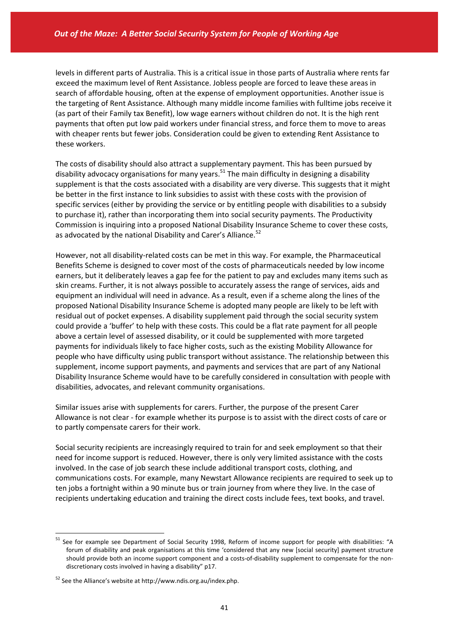levels in different parts of Australia. This is a critical issue in those parts of Australia where rents far exceed the maximum level of Rent Assistance. Jobless people are forced to leave these areas in search of affordable housing, often at the expense of employment opportunities. Another issue is the targeting of Rent Assistance. Although many middle income families with fulltime jobs receive it (as part of their Family tax Benefit), low wage earners without children do not. It is the high rent payments that often put low paid workers under financial stress, and force them to move to areas with cheaper rents but fewer jobs. Consideration could be given to extending Rent Assistance to these workers.

The costs of disability should also attract a supplementary payment. This has been pursued by disability advocacy organisations for many years.<sup>51</sup> The main difficulty in designing a disability supplement is that the costs associated with a disability are very diverse. This suggests that it might be better in the first instance to link subsidies to assist with these costs with the provision of specific services (either by providing the service or by entitling people with disabilities to a subsidy to purchase it), rather than incorporating them into social security payments. The Productivity Commission is inquiring into a proposed National Disability Insurance Scheme to cover these costs, as advocated by the national Disability and Carer's Alliance.<sup>52</sup>

However, not all disability-related costs can be met in this way. For example, the Pharmaceutical Benefits Scheme is designed to cover most of the costs of pharmaceuticals needed by low income earners, but it deliberately leaves a gap fee for the patient to pay and excludes many items such as skin creams. Further, it is not always possible to accurately assess the range of services, aids and equipment an individual will need in advance. As a result, even if a scheme along the lines of the proposed National Disability Insurance Scheme is adopted many people are likely to be left with residual out of pocket expenses. A disability supplement paid through the social security system could provide a 'buffer' to help with these costs. This could be a flat rate payment for all people above a certain level of assessed disability, or it could be supplemented with more targeted payments for individuals likely to face higher costs, such as the existing Mobility Allowance for people who have difficulty using public transport without assistance. The relationship between this supplement, income support payments, and payments and services that are part of any National Disability Insurance Scheme would have to be carefully considered in consultation with people with disabilities, advocates, and relevant community organisations.

Similar issues arise with supplements for carers. Further, the purpose of the present Carer Allowance is not clear ‐ for example whether its purpose is to assist with the direct costs of care or to partly compensate carers for their work.

Social security recipients are increasingly required to train for and seek employment so that their need for income support is reduced. However, there is only very limited assistance with the costs involved. In the case of job search these include additional transport costs, clothing, and communications costs. For example, many Newstart Allowance recipients are required to seek up to ten jobs a fortnight within a 90 minute bus or train journey from where they live. In the case of recipients undertaking education and training the direct costs include fees, text books, and travel.

<sup>&</sup>lt;sup>51</sup> See for example see Department of Social Security 1998, Reform of income support for people with disabilities: "A forum of disability and peak organisations at this time 'considered that any new [social security] payment structure should provide both an income support component and a costs-of-disability supplement to compensate for the nondiscretionary costs involved in having a disability" p17.

<sup>52</sup> See the Alliance's website at http://www.ndis.org.au/index.php.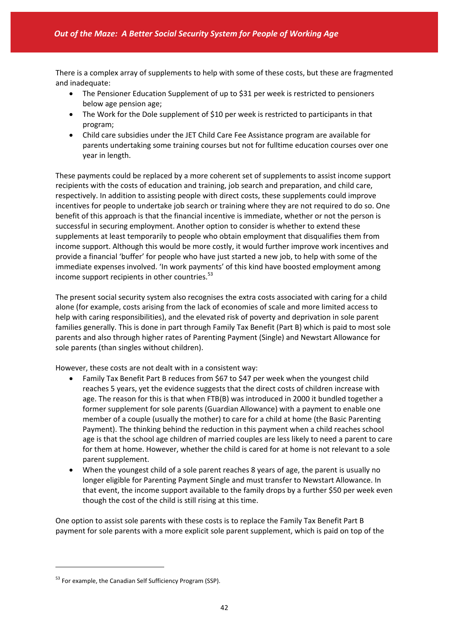There is a complex array of supplements to help with some of these costs, but these are fragmented and inadequate:

- The Pensioner Education Supplement of up to \$31 per week is restricted to pensioners below age pension age;
- The Work for the Dole supplement of \$10 per week is restricted to participants in that program;
- Child care subsidies under the JET Child Care Fee Assistance program are available for parents undertaking some training courses but not for fulltime education courses over one year in length.

These payments could be replaced by a more coherent set of supplements to assist income support recipients with the costs of education and training, job search and preparation, and child care, respectively. In addition to assisting people with direct costs, these supplements could improve incentives for people to undertake job search or training where they are not required to do so. One benefit of this approach is that the financial incentive is immediate, whether or not the person is successful in securing employment. Another option to consider is whether to extend these supplements at least temporarily to people who obtain employment that disqualifies them from income support. Although this would be more costly, it would further improve work incentives and provide a financial 'buffer' for people who have just started a new job, to help with some of the immediate expenses involved. 'In work payments' of this kind have boosted employment among income support recipients in other countries. $53$ 

The present social security system also recognises the extra costs associated with caring for a child alone (for example, costs arising from the lack of economies of scale and more limited access to help with caring responsibilities), and the elevated risk of poverty and deprivation in sole parent families generally. This is done in part through Family Tax Benefit (Part B) which is paid to most sole parents and also through higher rates of Parenting Payment (Single) and Newstart Allowance for sole parents (than singles without children).

However, these costs are not dealt with in a consistent way:

- Family Tax Benefit Part B reduces from \$67 to \$47 per week when the youngest child reaches 5 years, yet the evidence suggests that the direct costs of children increase with age. The reason for this is that when FTB(B) was introduced in 2000 it bundled together a former supplement for sole parents (Guardian Allowance) with a payment to enable one member of a couple (usually the mother) to care for a child at home (the Basic Parenting Payment). The thinking behind the reduction in this payment when a child reaches school age is that the school age children of married couples are less likely to need a parent to care for them at home. However, whether the child is cared for at home is not relevant to a sole parent supplement.
- When the youngest child of a sole parent reaches 8 years of age, the parent is usually no longer eligible for Parenting Payment Single and must transfer to Newstart Allowance. In that event, the income support available to the family drops by a further \$50 per week even though the cost of the child is still rising at this time.

One option to assist sole parents with these costs is to replace the Family Tax Benefit Part B payment for sole parents with a more explicit sole parent supplement, which is paid on top of the

<sup>&</sup>lt;sup>53</sup> For example, the Canadian Self Sufficiency Program (SSP).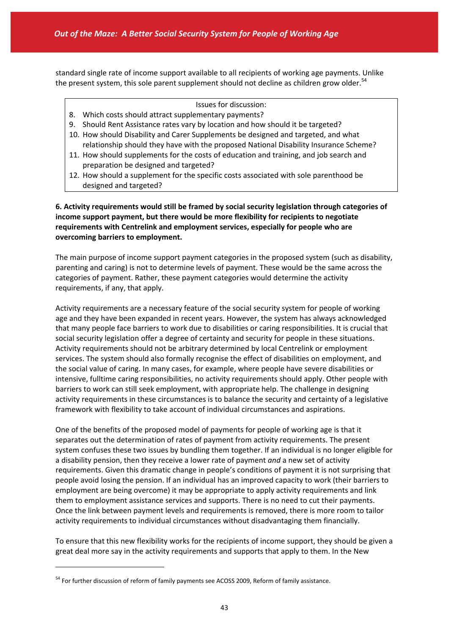standard single rate of income support available to all recipients of working age payments. Unlike the present system, this sole parent supplement should not decline as children grow older.<sup>54</sup>

- Issues for discussion:
- 8. Which costs should attract supplementary payments?
- 9. Should Rent Assistance rates vary by location and how should it be targeted?
- 10. How should Disability and Carer Supplements be designed and targeted, and what relationship should they have with the proposed National Disability Insurance Scheme?
- 11. How should supplements for the costs of education and training, and job search and preparation be designed and targeted?
- 12. How should a supplement for the specific costs associated with sole parenthood be designed and targeted?

### **6. Activity requirements would still be framed by social security legislation through categories of income support payment, but there would be more flexibility for recipients to negotiate requirements with Centrelink and employment services, especially for people who are overcoming barriers to employment.**

The main purpose of income support payment categories in the proposed system (such as disability, parenting and caring) is not to determine levels of payment. These would be the same across the categories of payment. Rather, these payment categories would determine the activity requirements, if any, that apply.

Activity requirements are a necessary feature of the social security system for people of working age and they have been expanded in recent years. However, the system has always acknowledged that many people face barriers to work due to disabilities or caring responsibilities. It is crucial that social security legislation offer a degree of certainty and security for people in these situations. Activity requirements should not be arbitrary determined by local Centrelink or employment services. The system should also formally recognise the effect of disabilities on employment, and the social value of caring. In many cases, for example, where people have severe disabilities or intensive, fulltime caring responsibilities, no activity requirements should apply. Other people with barriers to work can still seek employment, with appropriate help. The challenge in designing activity requirements in these circumstances is to balance the security and certainty of a legislative framework with flexibility to take account of individual circumstances and aspirations.

One of the benefits of the proposed model of payments for people of working age is that it separates out the determination of rates of payment from activity requirements. The present system confuses these two issues by bundling them together. If an individual is no longer eligible for a disability pension, then they receive a lower rate of payment *and* a new set of activity requirements. Given this dramatic change in people's conditions of payment it is not surprising that people avoid losing the pension. If an individual has an improved capacity to work (their barriers to employment are being overcome) it may be appropriate to apply activity requirements and link them to employment assistance services and supports. There is no need to cut their payments. Once the link between payment levels and requirements is removed, there is more room to tailor activity requirements to individual circumstances without disadvantaging them financially.

To ensure that this new flexibility works for the recipients of income support, they should be given a great deal more say in the activity requirements and supports that apply to them. In the New

<sup>&</sup>lt;sup>54</sup> For further discussion of reform of family payments see ACOSS 2009, Reform of family assistance.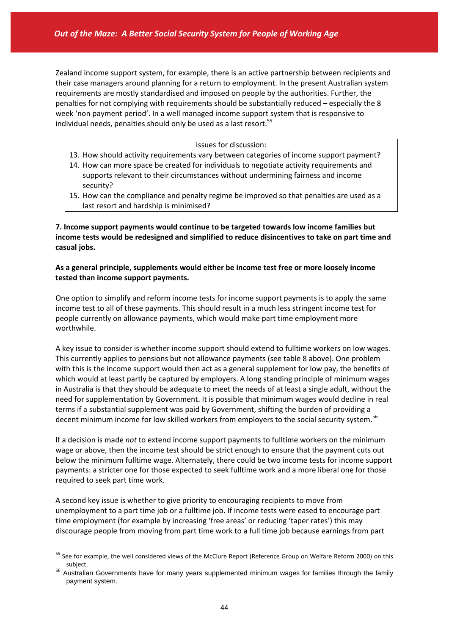Zealand income support system, for example, there is an active partnership between recipients and their case managers around planning for a return to employment. In the present Australian system requirements are mostly standardised and imposed on people by the authorities. Further, the penalties for not complying with requirements should be substantially reduced – especially the 8 week 'non payment period'. In a well managed income support system that is responsive to individual needs, penalties should only be used as a last resort.<sup>55</sup>

#### Issues for discussion:

- 13. How should activity requirements vary between categories of income support payment?
- 14. How can more space be created for individuals to negotiate activity requirements and supports relevant to their circumstances without undermining fairness and income security?
- 15. How can the compliance and penalty regime be improved so that penalties are used as a last resort and hardship is minimised?

**7. Income support payments would continue to be targeted towards low income families but income tests would be redesigned and simplified to reduce disincentives to take on part time and casual jobs.**

### **As a general principle, supplements would either be income test free or more loosely income tested than income support payments.**

One option to simplify and reform income tests for income support payments is to apply the same income test to all of these payments. This should result in a much less stringent income test for people currently on allowance payments, which would make part time employment more worthwhile.

A key issue to consider is whether income support should extend to fulltime workers on low wages. This currently applies to pensions but not allowance payments (see table 8 above). One problem with this is the income support would then act as a general supplement for low pay, the benefits of which would at least partly be captured by employers. A long standing principle of minimum wages in Australia is that they should be adequate to meet the needs of at least a single adult, without the need for supplementation by Government. It is possible that minimum wages would decline in real terms if a substantial supplement was paid by Government, shifting the burden of providing a decent minimum income for low skilled workers from employers to the social security system.<sup>56</sup>

If a decision is made *not* to extend income support payments to fulltime workers on the minimum wage or above, then the income test should be strict enough to ensure that the payment cuts out below the minimum fulltime wage. Alternately, there could be two income tests for income support payments: a stricter one for those expected to seek fulltime work and a more liberal one for those required to seek part time work.

A second key issue is whether to give priority to encouraging recipients to move from unemployment to a part time job or a fulltime job. If income tests were eased to encourage part time employment (for example by increasing 'free areas' or reducing 'taper rates') this may discourage people from moving from part time work to a full time job because earnings from part

<sup>&</sup>lt;sup>55</sup> See for example, the well considered views of the McClure Report (Reference Group on Welfare Reform 2000) on this subject.

<sup>&</sup>lt;sup>56</sup> Australian Governments have for many years supplemented minimum wages for families through the family payment system.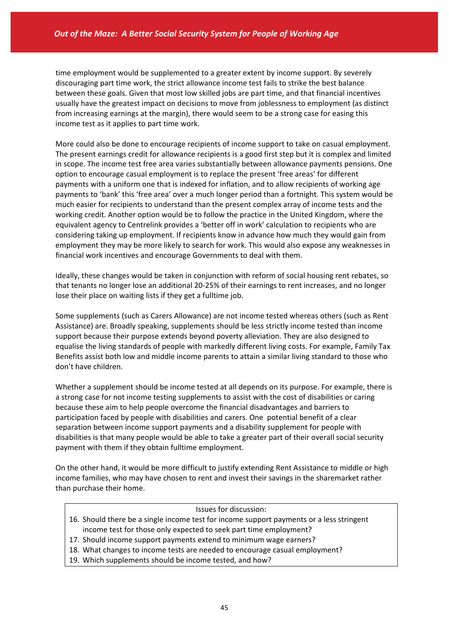time employment would be supplemented to a greater extent by income support. By severely discouraging part time work, the strict allowance income test fails to strike the best balance between these goals. Given that most low skilled jobs are part time, and that financial incentives usually have the greatest impact on decisions to move from joblessness to employment (as distinct from increasing earnings at the margin), there would seem to be a strong case for easing this income test as it applies to part time work.

More could also be done to encourage recipients of income support to take on casual employment. The present earnings credit for allowance recipients is a good first step but it is complex and limited in scope. The income test free area varies substantially between allowance payments pensions. One option to encourage casual employment is to replace the present 'free areas' for different payments with a uniform one that is indexed for inflation, and to allow recipients of working age payments to 'bank' this 'free area' over a much longer period than a fortnight. This system would be much easier for recipients to understand than the present complex array of income tests and the working credit. Another option would be to follow the practice in the United Kingdom, where the equivalent agency to Centrelink provides a 'better off in work' calculation to recipients who are considering taking up employment. If recipients know in advance how much they would gain from employment they may be more likely to search for work. This would also expose any weaknesses in financial work incentives and encourage Governments to deal with them.

Ideally, these changes would be taken in conjunction with reform of social housing rent rebates, so that tenants no longer lose an additional 20‐25% of their earnings to rent increases, and no longer lose their place on waiting lists if they get a fulltime job.

Some supplements (such as Carers Allowance) are not income tested whereas others (such as Rent Assistance) are. Broadly speaking, supplements should be less strictly income tested than income support because their purpose extends beyond poverty alleviation. They are also designed to equalise the living standards of people with markedly different living costs. For example, Family Tax Benefits assist both low and middle income parents to attain a similar living standard to those who don't have children.

Whether a supplement should be income tested at all depends on its purpose. For example, there is a strong case for not income testing supplements to assist with the cost of disabilities or caring because these aim to help people overcome the financial disadvantages and barriers to participation faced by people with disabilities and carers. One potential benefit of a clear separation between income support payments and a disability supplement for people with disabilities is that many people would be able to take a greater part of their overall social security payment with them if they obtain fulltime employment.

On the other hand, it would be more difficult to justify extending Rent Assistance to middle or high income families, who may have chosen to rent and invest their savings in the sharemarket rather than purchase their home.

#### Issues for discussion:

- 16. Should there be a single income test for income support payments or a less stringent income test for those only expected to seek part time employment?
- 17. Should income support payments extend to minimum wage earners?
- 18. What changes to income tests are needed to encourage casual employment?
- 19. Which supplements should be income tested, and how?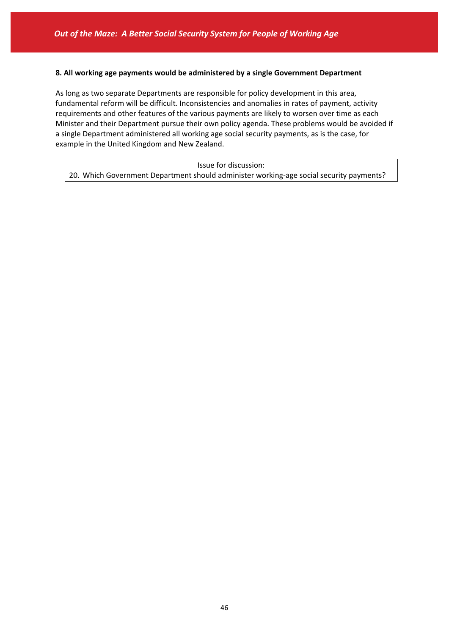#### **8. All working age payments would be administered by a single Government Department**

As long as two separate Departments are responsible for policy development in this area, fundamental reform will be difficult. Inconsistencies and anomalies in rates of payment, activity requirements and other features of the various payments are likely to worsen over time as each Minister and their Department pursue their own policy agenda. These problems would be avoided if a single Department administered all working age social security payments, as is the case, for example in the United Kingdom and New Zealand.

Issue for discussion: 20. Which Government Department should administer working-age social security payments?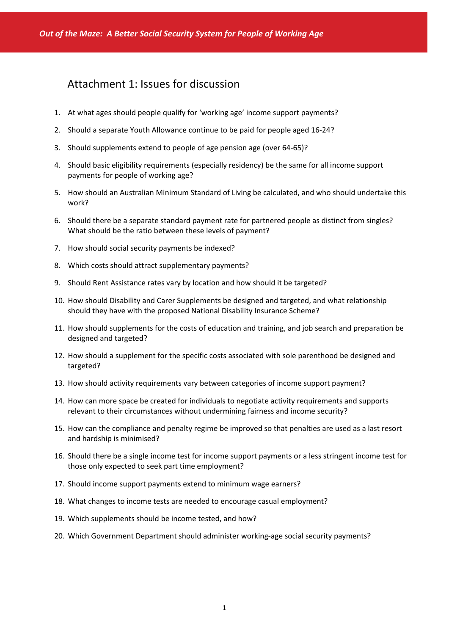# Attachment 1: Issues for discussion

- 1. At what ages should people qualify for 'working age' income support payments?
- 2. Should a separate Youth Allowance continue to be paid for people aged 16‐24?
- 3. Should supplements extend to people of age pension age (over 64‐65)?
- 4. Should basic eligibility requirements (especially residency) be the same for all income support payments for people of working age?
- 5. How should an Australian Minimum Standard of Living be calculated, and who should undertake this work?
- 6. Should there be a separate standard payment rate for partnered people as distinct from singles? What should be the ratio between these levels of payment?
- 7. How should social security payments be indexed?
- 8. Which costs should attract supplementary payments?
- 9. Should Rent Assistance rates vary by location and how should it be targeted?
- 10. How should Disability and Carer Supplements be designed and targeted, and what relationship should they have with the proposed National Disability Insurance Scheme?
- 11. How should supplements for the costs of education and training, and job search and preparation be designed and targeted?
- 12. How should a supplement for the specific costs associated with sole parenthood be designed and targeted?
- 13. How should activity requirements vary between categories of income support payment?
- 14. How can more space be created for individuals to negotiate activity requirements and supports relevant to their circumstances without undermining fairness and income security?
- 15. How can the compliance and penalty regime be improved so that penalties are used as a last resort and hardship is minimised?
- 16. Should there be a single income test for income support payments or a less stringent income test for those only expected to seek part time employment?
- 17. Should income support payments extend to minimum wage earners?
- 18. What changes to income tests are needed to encourage casual employment?
- 19. Which supplements should be income tested, and how?
- 20. Which Government Department should administer working‐age social security payments?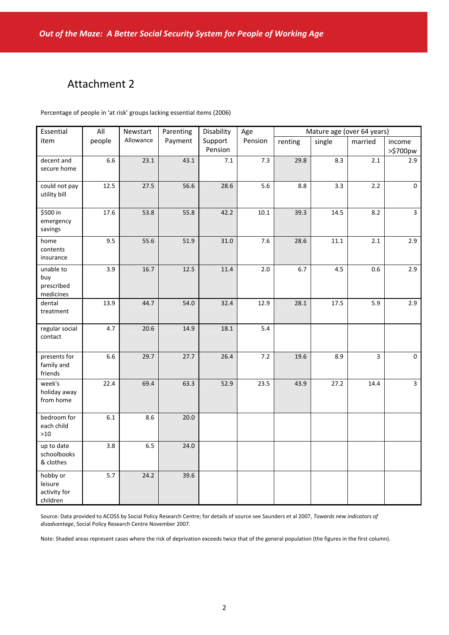# Attachment 2

Percentage of people in 'at risk' groups lacking essential items (2006)

| Essential                                       | All    | Newstart  | Parenting | Disability         | Age      | Mature age (over 64 years) |          |         |                         |
|-------------------------------------------------|--------|-----------|-----------|--------------------|----------|----------------------------|----------|---------|-------------------------|
| item                                            | people | Allowance | Payment   | Support<br>Pension | Pension  | renting                    | single   | married | income<br>>\$700pw      |
| decent and<br>secure home                       | 6.6    | 23.1      | 43.1      | $7.1$              | 7.3      | 29.8                       | 8.3      | 2.1     | 2.9                     |
| could not pay<br>utility bill                   | 12.5   | 27.5      | 56.6      | 28.6               | 5.6      | $8.8\,$                    | 3.3      | 2.2     | 0                       |
| \$500 in<br>emergency<br>savings                | 17.6   | 53.8      | 55.8      | 42.2               | $10.1\,$ | 39.3                       | 14.5     | $8.2\,$ | $\overline{\mathbf{3}}$ |
| home<br>contents<br>insurance                   | 9.5    | 55.6      | 51.9      | 31.0               | 7.6      | 28.6                       | $11.1\,$ | 2.1     | 2.9                     |
| unable to<br>buy<br>prescribed<br>medicines     | 3.9    | 16.7      | 12.5      | 11.4               | 2.0      | 6.7                        | 4.5      | 0.6     | 2.9                     |
| dental<br>treatment                             | 13.9   | 44.7      | 54.0      | 32.4               | 12.9     | 28.1                       | 17.5     | 5.9     | 2.9                     |
| regular social<br>contact                       | 4.7    | 20.6      | 14.9      | 18.1               | 5.4      |                            |          |         |                         |
| presents for<br>family and<br>friends           | 6.6    | 29.7      | 27.7      | 26.4               | $7.2$    | 19.6                       | 8.9      | 3       | $\mathbf 0$             |
| week's<br>holiday away<br>from home             | 22.4   | 69.4      | 63.3      | 52.9               | 23.5     | 43.9                       | 27.2     | 14.4    | $\overline{\mathbf{3}}$ |
| bedroom for<br>each child<br>$>10$              | 6.1    | 8.6       | 20.0      |                    |          |                            |          |         |                         |
| up to date<br>schoolbooks<br>& clothes          | 3.8    | $6.5\,$   | 24.0      |                    |          |                            |          |         |                         |
| hobby or<br>leisure<br>activity for<br>children | 5.7    | 24.2      | 39.6      |                    |          |                            |          |         |                         |

Source: Data provided to ACOSS by Social Policy Research Centre; for details of source see Saunders et al 2007, *Towards new indicators of disadvantage*, Social Policy Research Centre November 2007.

Note: Shaded areas represent cases where the risk of deprivation exceeds twice that of the general population (the figures in the first column).